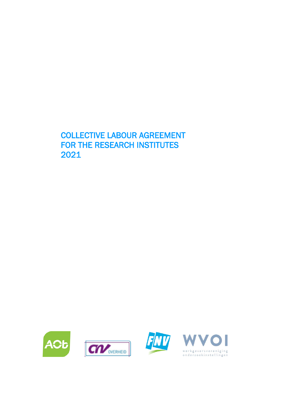# COLLECTIVE LABOUR AGREEMENT FOR THE RESEARCH INSTITUTES 2021







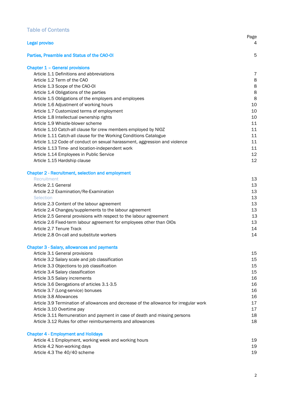# Table of Contents

| <b>Legal proviso</b>                                                                            | Page<br>4      |
|-------------------------------------------------------------------------------------------------|----------------|
| Parties, Preamble and Status of the CAO-OI                                                      | 5              |
| <b>Chapter 1 - General provisions</b>                                                           |                |
| Article 1.1 Definitions and abbreviations                                                       | $\overline{7}$ |
| Article 1.2 Term of the CAO                                                                     | 8              |
| Article 1.3 Scope of the CAO-OI                                                                 | 8              |
| Article 1.4 Obligations of the parties                                                          | 8              |
| Article 1.5 Obligations of the employers and employees                                          | 8              |
| Article 1.6 Adjustment of working hours                                                         | 10             |
| Article 1.7 Customized terms of employment                                                      | 10             |
| Article 1.8 Intellectual ownership rights                                                       | 10             |
| Article 1.9 Whistle-blower scheme                                                               | 11             |
| Article 1.10 Catch-all clause for crew members employed by NIOZ                                 | 11             |
| Article 1.11 Catch-all clause for the Working Conditions Catalogue                              | 11             |
| Article 1.12 Code of conduct on sexual harassment, aggression and violence                      | 11             |
| Article 1.13 Time- and location-independent work                                                | 11             |
| Article 1.14 Employees in Public Service                                                        | 12             |
| Article 1.15 Hardship clause                                                                    | 12             |
| <b>Chapter 2 - Recruitment, selection and employment</b>                                        |                |
| Recruitment                                                                                     | 13             |
| Article 2.1 General                                                                             | 13             |
| Article 2.2 Examination/Re-Examination                                                          | 13             |
| Selection                                                                                       | 13             |
| Article 2.3 Content of the labour agreement                                                     | 13             |
| Article 2.4 Changes/supplements to the labour agreement                                         | 13             |
| Article 2.5 General provisions with respect to the labour agreement                             | 13             |
| Article 2.6 Fixed-term labour agreement for employees other than OIOs                           | 13             |
| Article 2.7 Tenure Track                                                                        | 14             |
| Article 2.8 On-call and substitute workers                                                      | 14             |
| <b>Chapter 3 - Salary, allowances and payments</b>                                              |                |
| Article 3.1 General provisions                                                                  | 15             |
| Article 3.2 Salary scale and job classification<br>Article 3.3 Objections to job classification | 15<br>15       |
|                                                                                                 | 15             |
| Article 3.4 Salary classification<br>Article 3.5 Salary increments                              | 16             |
| Article 3.6 Derogations of articles 3.1-3.5                                                     | 16             |
| Article 3.7 (Long-service) bonuses                                                              | 16             |
| Article 3.8 Allowances                                                                          | 16             |
| Article 3.9 Termination of allowances and decrease of the allowance for irregular work          | 17             |
| Article 3.10 Overtime pay                                                                       | 17             |
| Article 3.11 Remuneration and payment in case of death and missing persons                      | 18             |
| Article 3.12 Rules for other reimbursements and allowances                                      | 18             |
| <b>Chapter 4 - Employment and Holidays</b>                                                      |                |
| Article 4.1 Employment, working week and working hours                                          | 19             |
| Article 4.2 Non-working days                                                                    | 19             |
| Article 4.3 The 40/40 scheme                                                                    | 19             |
|                                                                                                 |                |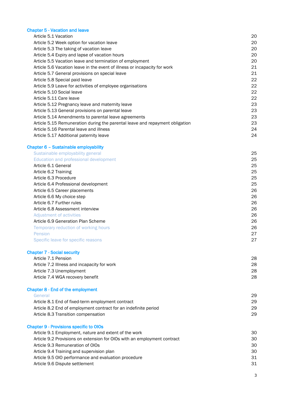## Chapter 5 - Vacation and leave

| Article 5.1 Vacation                                                         | 20 |
|------------------------------------------------------------------------------|----|
| Article 5.2 Week option for vacation leave                                   | 20 |
| Article 5.3 The taking of vacation leave                                     | 20 |
| Article 5.4 Expiry and lapse of vacation hours                               | 20 |
| Article 5.5 Vacation leave and termination of employment                     | 20 |
| Article 5.6 Vacation leave in the event of illness or incapacity for work    | 21 |
| Article 5.7 General provisions on special leave                              | 21 |
| Article 5.8 Special paid leave                                               | 22 |
| Article 5.9 Leave for activities of employee organisations                   | 22 |
| Article 5.10 Social leave                                                    | 22 |
| Article 5.11 Care leave                                                      | 22 |
| Article 5.12 Pregnancy leave and maternity leave                             | 23 |
| Article 5.13 General provisions on parental leave                            | 23 |
| Article 5.14 Amendments to parental leave agreements                         | 23 |
| Article 5.15 Remuneration during the parental leave and repayment obligation | 23 |
| Article 5.16 Parental leave and illness                                      | 24 |
| Article 5.17 Additional paternity leave                                      | 24 |
| Chapter 6 - Sustainable employability                                        |    |
| Sustainable employability general                                            | 25 |
| Education and professional development                                       | 25 |
| Article 6.1 General                                                          | 25 |
| Article 6.2 Training                                                         | 25 |
| Article 6.3 Procedure                                                        | 25 |
| Article 6.4 Professional development                                         | 25 |

# Chapter 7 - Social security<br>Article 7.1 Pension

| Article 7.1 Pension                         | 28 |
|---------------------------------------------|----|
| Article 7.2 Illness and incapacity for work | 28 |
| Article 7.3 Unemployment                    | 28 |
| Article 7.4 WGA recovery benefit            | 28 |
|                                             |    |

Article 6.5 Career placements 26 Article 6.6 My choice step 26 Article 6.7 Further rules 26 Article 6.8 Assessment interview 26 Adjustment of activities **26** and 20 and 20 and 20 and 20 and 20 and 20 and 20 and 20 and 20 and 20 and 20 and 20 and 20 and 20 and 20 and 20 and 20 and 20 and 20 and 20 and 20 and 20 and 20 and 20 and 20 and 20 and 20 and Article 6.9 Generation Plan Scheme 26 Temporary reduction of working hours **26** Pension **27 August 27 August 27 August 27 August 27 August 27 August 27 August 27 August 27 August 27 August 27** Specific leave for specific reasons 27

## Chapter 8 - End of the employment

| General                                                                  | 29 |
|--------------------------------------------------------------------------|----|
| Article 8.1 End of fixed-term employment contract                        | 29 |
| Article 8.2 End of employment contract for an indefinite period          | 29 |
| Article 8.3 Transition compensation                                      | 29 |
| <b>Chapter 9 - Provisions specific to OIOs</b>                           |    |
| Article 9.1 Employment, nature and extent of the work                    | 30 |
| Article 9.2 Provisions on extension for OIOs with an employment contract | 30 |
| Article 9.3 Remuneration of OIOs                                         | 30 |

Article 9.4 Training and supervision plan 30 and 30 and 30 and 30 and 30 and 30 and 30 and 30 and 30 and 30 and 30 and 30 and 30 and 30 and 30 and 30 and 30 and 30 and 30 and 30 and 30 and 30 and 30 and 30 and 30 and 30 an

| Article 9.5 OIO performance and evaluation procedure |            |
|------------------------------------------------------|------------|
| Article 9.6 Dispute settlement                       | <b>O</b> 1 |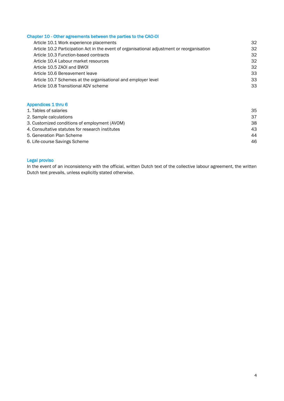## Chapter 10 - Other agreements between the parties to the CAO-OI

| Article 10.1 Work experience placements                                                    | 32 |
|--------------------------------------------------------------------------------------------|----|
| Article 10.2 Participation Act in the event of organisational adjustment or reorganisation | 32 |
| Article 10.3 Function-based contracts                                                      | 32 |
| Article 10.4 Labour market resources                                                       | 32 |
| Article 10.5 ZAOI and BWOI                                                                 | 32 |
| Article 10.6 Bereavement leave                                                             | 33 |
| Article 10.7 Schemes at the organisational and employer level                              | 33 |
| Article 10.8 Transitional ADV scheme                                                       | 33 |
|                                                                                            |    |

# Appendices 1 thru 6

| 1. Tables of salaries                            | 35 |
|--------------------------------------------------|----|
| 2. Sample calculations                           | 37 |
| 3. Customized conditions of employment (AVOM)    | 38 |
| 4. Consultative statutes for research institutes | 43 |
| 5. Generation Plan Scheme                        | 44 |
| 6. Life-course Savings Scheme                    | 46 |

## Legal proviso

In the event of an inconsistency with the official, written Dutch text of the collective labour agreement, the written Dutch text prevails, unless explicitly stated otherwise.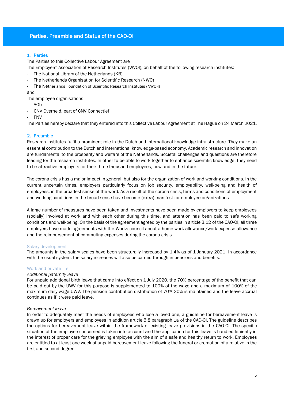## Parties, Preamble and Status of the CAO-OI

## 1. Parties

The Parties to this Collective Labour Agreement are

The Employers' Association of Research Institutes (WVOI), on behalf of the following research institutes:

- The National Library of the Netherlands (KB)
- The Netherlands Organisation for Scientific Research (NWO)
- The Netherlands Foundation of Scientific Research Institutes (NWO-I)

#### and

- The employee organisations
- AOb
- CNV Overheid, part of CNV Connectief
- FNV

The Parties hereby declare that they entered into this Collective Labour Agreement at The Hague on 24 March 2021.

## 2. Preamble

Research institutes fulfil a prominent role in the Dutch and international knowledge infra-structure. They make an essential contribution to the Dutch and international knowledge-based economy. Academic research and innovation are fundamental to the prosperity and welfare of the Netherlands. Societal challenges and questions are therefore leading for the research institutes. In other to be able to work together to enhance scientific knowledge, they need to be attractive employers for their three thousand employees, now and in the future.

The corona crisis has a major impact in general, but also for the organization of work and working conditions. In the current uncertain times, employers particularly focus on job security, employability, well-being and health of employees, in the broadest sense of the word. As a result of the corona crisis, terms and conditions of employment and working conditions in the broad sense have become (extra) manifest for employee organizations.

A large number of measures have been taken and investments have been made by employers to keep employees (socially) involved at work and with each other during this time, and attention has been paid to safe working conditions and well-being. On the basis of the agreement agreed by the parties in article 3.12 of the CAO-OI, all three employers have made agreements with the Works council about a home-work allowance/work expense allowance and the reimbursement of commuting expenses during the corona crisis.

#### Salary development

The amounts in the salary scales have been structurally increased by 1,4% as of 1 January 2021. In accordance with the usual system, the salary increases will also be carried through in pensions and benefits.

#### Work and private life

## *Additional paternity leave*

For unpaid additional birth leave that came into effect on 1 July 2020, the 70% percentage of the benefit that can be paid out by the UWV for this purpose is supplemented to 100% of the wage and a maximum of 100% of the maximum daily wage UWV. The pension contribution distribution of 70%-30% is maintained and the leave accrual continues as if it were paid leave.

#### *Bereavement leave*

In order to adequately meet the needs of employees who lose a loved one, a guideline for bereavement leave is drawn up for employers and employees in addition article 5.8 paragraph 1a of the CAO-OI. The guideline describes the options for bereavement leave within the framework of existing leave provisions in the CAO-OI. The specific situation of the employee concerned is taken into account and the application for this leave is handled leniently in the interest of proper care for the grieving employee with the aim of a safe and healthy return to work. Employees are entitled to at least one week of unpaid bereavement leave following the funeral or cremation of a relative in the first and second degree.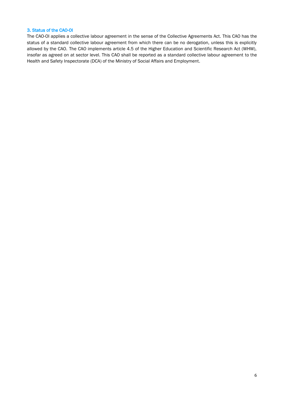## 3. Status of the CAO-OI

The CAO-OI applies a collective labour agreement in the sense of the Collective Agreements Act. This CAO has the status of a standard collective labour agreement from which there can be no derogation, unless this is explicitly allowed by the CAO. The CAO implements article 4.5 of the Higher Education and Scientific Research Act (WHW), insofar as agreed on at sector level. This CAO shall be reported as a standard collective labour agreement to the Health and Safety Inspectorate (DCA) of the Ministry of Social Affairs and Employment.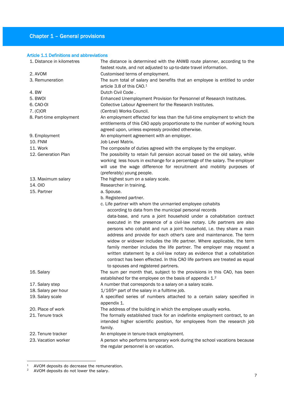## Chapter 1 – General provisions

## Article 1.1 Definitions and abbreviations

| 1. Distance in kilometres | The distance is determined with the ANWB route planner, according to the<br>fastest route, and not adjusted to up-to-date travel information.                                                                                                                                                                                                                                                                                                                                                                                                                                                                                                  |
|---------------------------|------------------------------------------------------------------------------------------------------------------------------------------------------------------------------------------------------------------------------------------------------------------------------------------------------------------------------------------------------------------------------------------------------------------------------------------------------------------------------------------------------------------------------------------------------------------------------------------------------------------------------------------------|
| 2. AVOM                   | Customised terms of employment.                                                                                                                                                                                                                                                                                                                                                                                                                                                                                                                                                                                                                |
| 3. Remuneration           | The sum total of salary and benefits that an employee is entitled to under<br>article 3.8 of this CAO. <sup>1</sup>                                                                                                                                                                                                                                                                                                                                                                                                                                                                                                                            |
| 4. BW                     | Dutch Civil Code.                                                                                                                                                                                                                                                                                                                                                                                                                                                                                                                                                                                                                              |
| 5. BWOI                   | Enhanced Unemployment Provision for Personnel of Research Institutes.                                                                                                                                                                                                                                                                                                                                                                                                                                                                                                                                                                          |
| 6. CAO-OI                 | Collective Labour Agreement for the Research Institutes.                                                                                                                                                                                                                                                                                                                                                                                                                                                                                                                                                                                       |
| 7. (C) OR                 | (Central) Works Council.                                                                                                                                                                                                                                                                                                                                                                                                                                                                                                                                                                                                                       |
| 8. Part-time employment   | An employment effected for less than the full-time employment to which the<br>entitlements of this CAO apply proportionate to the number of working hours<br>agreed upon, unless expressly provided otherwise.                                                                                                                                                                                                                                                                                                                                                                                                                                 |
| 9. Employment             | An employment agreement with an employer.                                                                                                                                                                                                                                                                                                                                                                                                                                                                                                                                                                                                      |
| <b>10. FNM</b>            | Job Level Matrix.                                                                                                                                                                                                                                                                                                                                                                                                                                                                                                                                                                                                                              |
| 11. Work                  | The composite of duties agreed with the employee by the employer.                                                                                                                                                                                                                                                                                                                                                                                                                                                                                                                                                                              |
| 12. Generation Plan       | The possibility to retain full pension accrual based on the old salary, while<br>working less hours in exchange for a percentage of the salary. The employer<br>will use the wage difference for recruitment and mobility purposes of<br>(preferably) young people.                                                                                                                                                                                                                                                                                                                                                                            |
| 13. Maximum salary        | The highest sum on a salary scale.                                                                                                                                                                                                                                                                                                                                                                                                                                                                                                                                                                                                             |
| <b>14.010</b>             | Researcher in training.                                                                                                                                                                                                                                                                                                                                                                                                                                                                                                                                                                                                                        |
| 15. Partner               | a. Spouse.                                                                                                                                                                                                                                                                                                                                                                                                                                                                                                                                                                                                                                     |
|                           | b. Registered partner.                                                                                                                                                                                                                                                                                                                                                                                                                                                                                                                                                                                                                         |
|                           | c. Life partner with whom the unmarried employee cohabits                                                                                                                                                                                                                                                                                                                                                                                                                                                                                                                                                                                      |
|                           | according to data from the municipal personal records                                                                                                                                                                                                                                                                                                                                                                                                                                                                                                                                                                                          |
|                           | data-base, and runs a joint household under a cohabitation contract<br>executed in the presence of a civil-law notary. Life partners are also<br>persons who cohabit and run a joint household, i.e. they share a main<br>address and provide for each other's care and maintenance. The term<br>widow or widower includes the life partner. Where applicable, the term<br>family member includes the life partner. The employer may request a<br>written statement by a civil-law notary as evidence that a cohabitation<br>contract has been effected. In this CAO life partners are treated as equal<br>to spouses and registered partners. |
| 16. Salary                | The sum per month that, subject to the provisions in this CAO, has been<br>established for the employee on the basis of appendix 1.2                                                                                                                                                                                                                                                                                                                                                                                                                                                                                                           |
| 17. Salary step           | A number that corresponds to a salary on a salary scale.                                                                                                                                                                                                                                                                                                                                                                                                                                                                                                                                                                                       |
| 18. Salary per hour       | 1/165 <sup>th</sup> part of the salary in a fulltime job.                                                                                                                                                                                                                                                                                                                                                                                                                                                                                                                                                                                      |
| 19. Salary scale          | A specified series of numbers attached to a certain salary specified in<br>appendix 1.                                                                                                                                                                                                                                                                                                                                                                                                                                                                                                                                                         |
| 20. Place of work         | The address of the building in which the employee usually works.                                                                                                                                                                                                                                                                                                                                                                                                                                                                                                                                                                               |
| 21. Tenure track          | The formally established track for an indefinite employment contract, to an<br>intended higher scientific position, for employees from the research job<br>family.                                                                                                                                                                                                                                                                                                                                                                                                                                                                             |
| 22. Tenure tracker        | An employee in tenure-track employment.                                                                                                                                                                                                                                                                                                                                                                                                                                                                                                                                                                                                        |
| 23. Vacation worker       | A person who performs temporary work during the school vacations because                                                                                                                                                                                                                                                                                                                                                                                                                                                                                                                                                                       |
|                           | the regular personnel is on vacation.                                                                                                                                                                                                                                                                                                                                                                                                                                                                                                                                                                                                          |

<u>.</u>

 $1$  AVOM deposits do decrease the remuneration.

 $2^{\circ}$  AVOM deposits do not lower the salary.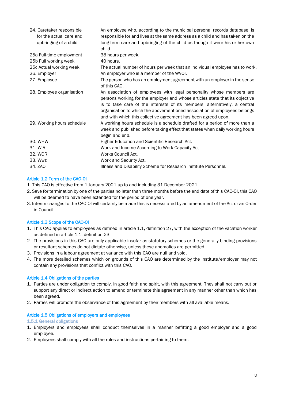| 24. Caretaker responsible<br>for the actual care and<br>upbringing of a child | An employee who, according to the municipal personal records database, is<br>responsible for and lives at the same address as a child and has taken on the<br>long-term care and upbringing of the child as though it were his or her own<br>child.                                                                                                                              |
|-------------------------------------------------------------------------------|----------------------------------------------------------------------------------------------------------------------------------------------------------------------------------------------------------------------------------------------------------------------------------------------------------------------------------------------------------------------------------|
| 25a Full-time employment                                                      | 38 hours per week.                                                                                                                                                                                                                                                                                                                                                               |
| 25b Full working week                                                         | 40 hours.                                                                                                                                                                                                                                                                                                                                                                        |
| 25c Actual working week                                                       | The actual number of hours per week that an individual employee has to work.                                                                                                                                                                                                                                                                                                     |
| 26. Employer                                                                  | An employer who is a member of the WVOI.                                                                                                                                                                                                                                                                                                                                         |
| 27. Employee                                                                  | The person who has an employment agreement with an employer in the sense<br>of this CAO.                                                                                                                                                                                                                                                                                         |
| 28. Employee organisation                                                     | An association of employees with legal personality whose members are<br>persons working for the employer and whose articles state that its objective<br>is to take care of the interests of its members; alternatively, a central<br>organisation to which the abovementioned association of employees belongs<br>and with which this collective agreement has been agreed upon. |
| 29. Working hours schedule                                                    | A working hours schedule is a schedule drafted for a period of more than a<br>week and published before taking effect that states when daily working hours<br>begin and end.                                                                                                                                                                                                     |
| 30. WHW                                                                       | Higher Education and Scientific Research Act.                                                                                                                                                                                                                                                                                                                                    |
| 31. WIA                                                                       | Work and Income According to Work Capacity Act.                                                                                                                                                                                                                                                                                                                                  |
| 32. WOR                                                                       | Works Council Act.                                                                                                                                                                                                                                                                                                                                                               |
| 33. Wwz                                                                       | Work and Security Act.                                                                                                                                                                                                                                                                                                                                                           |
| 34. ZAOI                                                                      | Illness and Disability Scheme for Research Institute Personnel.                                                                                                                                                                                                                                                                                                                  |

## Article 1.2 Term of the CAO-OI

- 1. This CAO is effective from 1 January 2021 up to and including 31 December 2021.
- 2. Save for termination by one of the parties no later than three months before the end date of this CAO-OI, this CAO will be deemed to have been extended for the period of one year.
- 3. Interim changes to the CAO-OI will certainly be made this is necessitated by an amendment of the Act or an Order in Council.

## Article 1.3 Scope of the CAO-OI

- 1. This CAO applies to employees as defined in article 1.1, definition 27, with the exception of the vacation worker as defined in article 1.1, definition 23.
- 2. The provisions in this CAO are only applicable insofar as statutory schemes or the generally binding provisions or resultant schemes do not dictate otherwise, unless these anomalies are permitted.
- 3. Provisions in a labour agreement at variance with this CAO are null and void.
- 4. The more detailed schemes which on grounds of this CAO are determined by the institute/employer may not contain any provisions that conflict with this CAO.

## Article 1.4 Obligations of the parties

- 1. Parties are under obligation to comply, in good faith and spirit, with this agreement. They shall not carry out or support any direct or indirect action to amend or terminate this agreement in any manner other than which has been agreed.
- 2. Parties will promote the observance of this agreement by their members with all available means.

#### Article 1.5 Obligations of employers and employees

#### 1.5.1 General obligations

- 1. Employers and employees shall conduct themselves in a manner befitting a good employer and a good employee.
- 2. Employees shall comply with all the rules and instructions pertaining to them.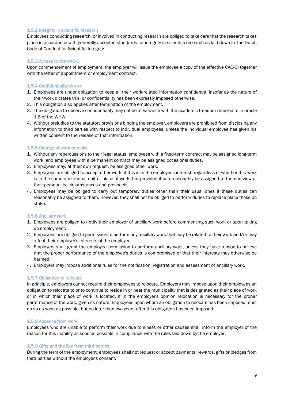#### 1.5.2 Integrity in scientific research

Employees conducting research, or involved in conducting research are obliged to take care that the research takes place in accordance with generally accepted standards for integrity in scientific research as laid down in The Dutch Code of Conduct for Scientific Integrity.

## 1.5.3 Access to the CAO-OI

Upon commencement of employment, the employer will issue the employee a copy of the effective CAO-OI together with the letter of appointment or employment contract.

## 1.5.4 Confidentiality clause

- 1. Employees are under obligation to keep all their work-related information confidential insofar as the nature of their work dictates this, or confidentiality has been expressly imposed otherwise.
- 2. This obligation also applies after termination of the employment.
- 3. The obligation to observe confidentiality may not be at variance with the academic freedom referred to in article 1.6 of the WHW.
- 4. Without prejudice to the statutory provisions binding the employer, employers are prohibited from disclosing any information to third parties with respect to individual employees, unless the individual employee has given his written consent to the release of that information.

## 1.5.5 Change of work or tasks

- 1. Without any repercussions to their legal status, employees with a fixed-term contract may be assigned long-term work, and employees with a permanent contract may be assigned occasional duties.
- 2. Employees may, at their own request, be assigned other work.
- 3. Employees are obliged to accept other work, if this is in the employer's interest, regardless of whether this work is in the same operational unit or place of work, but provided it can reasonably be assigned to them in view of their personality, circumstances and prospects.
- 4. Employees may be obliged to carry out temporary duties other than their usual ones if these duties can reasonably be assigned to them. However, they shall not be obliged to perform duties to replace place those on strike.

#### 1.5.6 Ancillary work

- 1. Employees are obliged to notify their employer of ancillary work before commencing such work or upon taking up employment.
- 2. Employees are obliged to permission to perform any ancillary work that may be related to their work and/or may affect their employer's interests of the employer.
- 3. Employers shall grant the employee permission to perform ancillary work, unless they have reason to believe that the proper performance of the employee's duties is compromised or that their interests may otherwise be harmed.
- 4. Employers may impose additional rules for the notification, registration and assessment of ancillary work.

#### 1.5.7 Obligation to relocate

In principle, employers cannot require their employees to relocate. Employers may impose upon their employees an obligation to relocate to or to continue to reside in or near the municipality that is designated as their place of work or in which their place of work is located, if in the employer's opinion relocation is necessary for the proper performance of the work, given its nature. Employees upon whom an obligation to relocate has been imposed must do so as soon as possible, but no later than two years after this obligation has been imposed.

#### 1.5.8 Absence from work

Employees who are unable to perform their work due to illness or other causes shall inform the employer of the reason for this inability as soon as possible in compliance with the rules laid down by the employer.

#### 1.5.9 Gifts and the like from third parties

During the term of the employment, employees shall not request or accept payments, rewards, gifts or pledges from third parties without the employer's consent.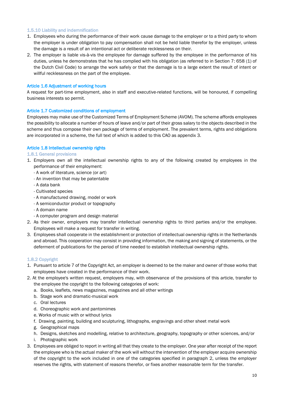#### 1.5.10 Liability and indemnification

- 1. Employees who during the performance of their work cause damage to the employer or to a third party to whom the employer is under obligation to pay compensation shall not be held liable therefor by the employer, unless the damage is a result of an intentional act or deliberate recklessness on their.
- 2. The employer is liable vis-à-vis the employee for damage suffered by the employee in the performance of his duties, unless he demonstrates that he has complied with his obligation (as referred to in Section 7: 658 (1) of the Dutch Civil Code) to arrange the work safely or that the damage is to a large extent the result of intent or willful recklessness on the part of the employee.

#### Article 1.6 Adjustment of working hours

A request for part-time employment, also in staff and executive-related functions, will be honoured, if compelling business interests so permit.

## Article 1.7 Customized conditions of employment

Employees may make use of the Customized Terms of Employment Scheme (AVOM). The scheme affords employees the possibility to allocate a number of hours of leave and/or part of their gross salary to the objects described in the scheme and thus compose their own package of terms of employment. The prevalent terms, rights and obligations are incorporated in a scheme, the full text of which is added to this CAO as appendix 3.

## Article 1.8 Intellectual ownership rights

#### 1.8.1 General provisions

- 1. Employers own all the intellectual ownership rights to any of the following created by employees in the performance of their employment:
	- A work of literature, science (or art)
	- An invention that may be patentable
	- A data bank
	- Cultivated species
	- A manufactured drawing, model or work
	- A semiconductor product or topography
	- A domain name
	- A computer program and design material
- 2. As their owner, employers may transfer intellectual ownership rights to third parties and/or the employee. Employees will make a request for transfer in writing.
- 3. Employees shall cooperate in the establishment or protection of intellectual ownership rights in the Netherlands and abroad. This cooperation may consist in providing information, the making and signing of statements, or the deferment of publications for the period of time needed to establish intellectual ownership rights.

#### 1.8.2 Copyright

- 1. Pursuant to article 7 of the Copyright Act, an employer is deemed to be the maker and owner of those works that employees have created in the performance of their work.
- 2. At the employee's written request, employers may, with observance of the provisions of this article, transfer to the employee the copyright to the following categories of work:
	- a. Books, leaflets, news magazines, magazines and all other writings
	- b. Stage work and dramatic-musical work
	- c. Oral lectures
	- d. Choreographic work and pantomimes
	- e. Works of music with or without lyrics
	- f. Drawing, painting, building and sculpturing, lithographs, engravings and other sheet metal work
	- g. Geographical maps
	- h. Designs, sketches and modelling, relative to architecture, geography, topography or other sciences, and/or
	- i. Photographic work
- 3. Employees are obliged to report in writing all that they create to the employer. One year after receipt of the report the employee who is the actual maker of the work will without the intervention of the employer acquire ownership of the copyright to the work included in one of the categories specified in paragraph 2, unless the employer reserves the rights, with statement of reasons therefor, or fixes another reasonable term for the transfer.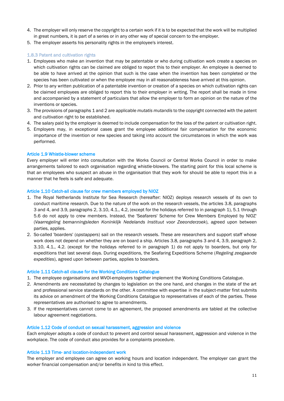- 4. The employer will only reserve the copyright to a certain work if it is to be expected that the work will be multiplied in great numbers, it is part of a series or in any other way of special concern to the employer.
- 5. The employer asserts his personality rights in the employee's interest.

## 1.8.3 Patent and cultivation rights

- 1. Employees who make an invention that may be patentable or who during cultivation work create a species on which cultivation rights can be claimed are obliged to report this to their employer. An employee is deemed to be able to have arrived at the opinion that such is the case when the invention has been completed or the species has been cultivated or when the employee may in all reasonableness have arrived at this opinion.
- 2. Prior to any written publication of a patentable invention or creation of a species on which cultivation rights can be claimed employees are obliged to report this to their employer in writing. The report shall be made in time and accompanied by a statement of particulars that allow the employer to form an opinion on the nature of the inventions or species.
- 3. The provisions of paragraphs 1 and 2 are applicable *mutatis mutandis* to the copyright connected with the patent and cultivation right to be established.
- 4. The salary paid by the employer is deemed to include compensation for the loss of the patent or cultivation right.
- 5. Employers may, in exceptional cases grant the employee additional fair compensation for the economic importance of the invention or new species and taking into account the circumstances in which the work was performed.

#### Article 1.9 Whistle-blower scheme

Every employer will enter into consultation with the Works Council or Central Works Council in order to make arrangements tailored to each organisation regarding whistle-blowers. The starting point for this local scheme is that an employees who suspect an abuse in the organisation that they work for should be able to report this in a manner that he feels is safe and adequate.

#### Article 1.10 Catch-all clause for crew members employed by NIOZ

- 1. The Royal Netherlands Institute for Sea Research (hereafter: NIOZ) deploys research vessels of its own to conduct maritime research. Due to the nature of the work on the research vessels, the articles 3.8, paragraphs 3 and 4, and 3.9, paragraphs 2, 3.10, 4.1., 4.2, (except for the holidays referred to in paragraph 1), 5.1 through 5.6 do not apply to crew members. Instead, the 'Seafarers' Scheme for Crew Members Employed by NIOZ' (*Vaarregeling bemanningsleden Koninklijk Nedelands Instituut voor Zeeonderzoek*), agreed upon between parties, applies.
- 2. So-called 'boarders' (*opstappers*) sail on the research vessels. These are researchers and support staff whose work does not depend on whether they are on board a ship. Articles 3.8, paragraphs 3 and 4, 3.9, paragraph 2, 3.10, 4.1., 4.2. (except for the holidays referred to in paragraph 1) do not apply to boarders, but only for expeditions that last several days. During expeditions, the Seafaring Expeditions Scheme (*Regeling zeegaande expedities*), agreed upon between parties, applies to boarders.

#### Article 1.11 Catch-all clause for the Working Conditions Catalogue

- 1. The employee organisations and WVOI-employers together implement the Working Conditions Catalogue.
- 2. Amendments are necessitated by changes to legislation on the one hand, and changes in the state of the art and professional service standards on the other. A committee with expertise in the subject-matter first submits its advice on amendment of the Working Conditions Catalogue to representatives of each of the parties. These representatives are authorised to agree to amendments.
- 3. If the representatives cannot come to an agreement, the proposed amendments are tabled at the collective labour agreement negotiations.

#### Article 1.12 Code of conduct on sexual harassment, aggression and violence

Each employer adopts a code of conduct to prevent and control sexual harassment, aggression and violence in the workplace. The code of conduct also provides for a complaints procedure.

#### Article 1.13 Time- and location-independent work

The employer and employee can agree on working hours and location independent. The employer can grant the worker financial compensation and/or benefits in kind to this effect.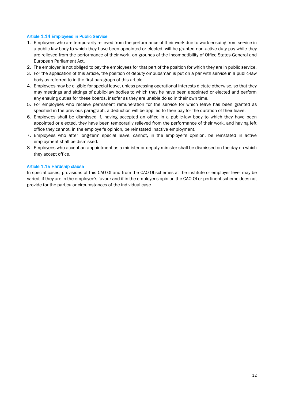## Article 1.14 Employees in Public Service

- 1. Employees who are temporarily relieved from the performance of their work due to work ensuing from service in a public-law body to which they have been appointed or elected, will be granted non-active duty pay while they are relieved from the performance of their work, on grounds of the Incompatibility of Office States-General and European Parliament Act.
- 2. The employer is not obliged to pay the employees for that part of the position for which they are in public service.
- 3. For the application of this article, the position of deputy ombudsman is put on a par with service in a public-law body as referred to in the first paragraph of this article.
- 4. Employees may be eligible for special leave, unless pressing operational interests dictate otherwise, so that they may meetings and sittings of public-law bodies to which they he have been appointed or elected and perform any ensuing duties for these boards, insofar as they are unable do so in their own time.
- 5. For employees who receive permanent remuneration for the service for which leave has been granted as specified in the previous paragraph, a deduction will be applied to their pay for the duration of their leave.
- 6. Employees shall be dismissed if, having accepted an office in a public-law body to which they have been appointed or elected, they have been temporarily relieved from the performance of their work, and having left office they cannot, in the employer's opinion, be reinstated inactive employment.
- 7. Employees who after long-term special leave, cannot, in the employer's opinion, be reinstated in active employment shall be dismissed.
- 8. Employees who accept an appointment as a minister or deputy-minister shall be dismissed on the day on which they accept office.

#### Article 1.15 Hardship clause

In special cases, provisions of this CAO-OI and from the CAO-OI schemes at the institute or employer level may be varied, if they are in the employee's favour and if in the employer's opinion the CAO-OI or pertinent scheme does not provide for the particular circumstances of the individual case.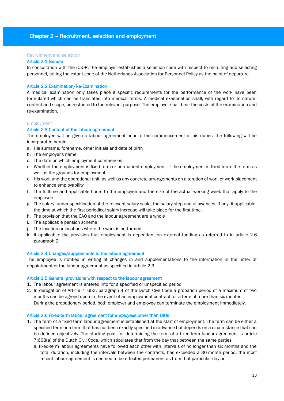## Chapter 2 – Recruitment, selection and employment

#### Recruitment and selection

#### Article 2.1 General

In consultation with the (C)OR, the employer establishes a selection code with respect to recruiting and selecting personnel, taking the extant code of the Netherlands Association for Personnel Policy as the point of departure.

#### Article 2.2 Examination/Re-Examination

A medical examination only takes place if specific requirements for the performance of the work have been formulated which can be translated into medical terms. A medical examination shall, with regard to its nature, content and scope, be restricted to the relevant purpose. The employer shall bear the costs of the examination and re-examination.

#### Employment

#### Article 2.3 Content of the labour agreement

The employee will be given a labour agreement prior to the commencement of his duties; the following will be incorporated herein:

- a. His surname, forename, other initials and date of birth
- b. The employer's name
- c. The date on which employment commences
- d. Whether the employment is fixed-term or permanent employment. If the employment is fixed-term: the term as well as the grounds for employment
- e. His work and the operational unit, as well as any concrete arrangements on alteration of work or work placement to enhance employability
- f. The fulltime and applicable hours to the employee and the size of the actual working week that apply to the employee
- g. The salary, under specification of the relevant salary scale, the salary step and allowances, if any, if applicable, the time at which the first periodical salary increase will take place for the first time.
- h. The provision that the CAO and the labour agreement are a whole
- i. The applicable pension scheme
- j. The location or locations where the work is performed
- k. If applicable: the provision that employment is dependent on external funding as referred to in article 2.6 paragraph 2.

#### Article 2.4 Changes/supplements to the labour agreement

The employee is notified in writing of changes in and supplementations to the information in the letter of appointment or the labour agreement as specified in article 2.3.

#### Article 2.5 General provisions with respect to the labour agreement

- 1. The labour agreement is entered into for a specified or unspecified period
- 2. In derogation of Article 7: 652, paragraph 4 of the Dutch Civil Code a probation period of a maximum of two months can be agreed upon in the event of an employment contract for a term of more than six months. During the probationary period, both employer and employee can terminate the employment immediately.

#### Article 2.6 Fixed-term labour agreement for employees other than OIOs

- 1. The term of a fixed-term labour agreement is established at the start of employment. The term can be either a specified term or a term that has not been exactly specified in advance but depends on a circumstance that can be defined objectively. The starting point for determining the term of a fixed-term labour agreement is article 7:668(a) of the Dutch Civil Code, which stipulates that from the day that between the same parties
	- a. fixed-term labour agreements have followed each other with intervals of no longer than six months and the total duration, including the intervals between the contracts, has exceeded a 36-month period, the most recent labour agreement is deemed to be effected permanent as from that particular day or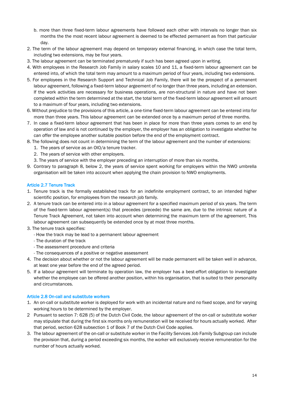- b. more than three fixed-term labour agreements have followed each other with intervals no longer than six months the the most recent labour agreement is deemed to be effected permanent as from that particular day.
- 2. The term of the labour agreement may depend on temporary external financing, in which case the total term, including two extensions, may be four years.
- 3. The labour agreement can be terminated prematurely if such has been agreed upon in writing.
- 4. With employees in the Research Job Family in salary scales 10 and 11, a fixed-term labour agreement can be entered into, of which the total term may amount to a maximum period of four years, including two extensions.
- 5. For employees in the Research Support and Technical Job Family, there will be the prospect of a permanent labour agreement, following a fixed-term labour argeement of no longer than three years, including an extension. If the work activities are necessary for business operations, are non-structural in nature and have not been completed within the term determined at the start, the total term of the fixed-term labour agreement will amount to a maximum of four years, including two extensions.
- 6. Without prejudice to the provisions of this article, a one-time fixed-term labour agreement can be entered into for more than three years. This labour agreement can be extended once by a maximum period of three months.
- 7. In case a fixed-term labour agreement that has been in place for more than three years comes to an end by operation of law and is not continued by the employer, the employer has an obligation to investigate whether he can offer the employee another suitable position before the end of the employment contract.
- 8. The following does not count in determining the term of the labour agreement and the number of extensions:
	- 1. The years of service as an OIO/a tenure tracker.
	- 2. The years of service with other employers.
	- 3. The years of service with the employer preceding an interruption of more than six months.
- 9. Contrary to paragraph 8, below 2, the years of service spent working for employers within the NWO umbrella organisation will be taken into account when applying the chain provision to NWO employments.

## Article 2.7 Tenure Track

- 1. Tenure track is the formally established track for an indefinite employment contract, to an intended higher scientific position, for employees from the research job family.
- 2. A tenure track can be entered into in a labour agreement for a specified maximum period of six years. The term of the fixed-term labour agreement(s) that precedes (precede) the same are, due to the intrinsic nature of a Tenure Track Agreement, not taken into account when determining the maximum term of the agreement. This labour agreement can subsequently be extended once by at most three months.
- 3. The tenure track specifies:
	- How the track may be lead to a permanent labour agreement
	- The duration of the track
	- The assessment procedure and criteria
	- The consequences of a positive or negative assessment
- 4. The decision about whether or not the labour agreement will be made permanent will be taken well in advance, at least one year before the end of the agreed period.
- 5. If a labour agreement will terminate by operation law, the employer has a best-effort obligation to investigate whether the employee can be offered another position, within his organisation, that is suited to their personality and circumstances.

#### Article 2.8 On-call and substitute workers

- 1. An on-call or substitute worker is deployed for work with an incidental nature and no fixed scope, and for varying working hours to be determined by the employer.
- 2 Pursuant to section 7: 628 (5) of the Dutch Civil Code, the labour agreement of the on-call or substitute worker may stipulate that during the first six months only remuneration will be received for hours actually worked. After that period, section 628 subsection 1 of Book 7 of the Dutch Civil Code applies.
- 3. The labour agreement of the on-call or substitute worker in the Facility Services Job Family Subgroup can include the provision that, during a period exceeding six months, the worker will exclusively receive remuneration for the number of hours actually worked.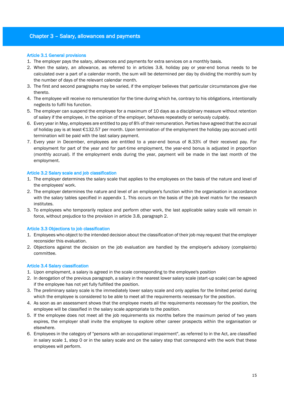## Chapter 3 – Salary, allowances and payments

#### Article 3.1 General provisions

- 1. The employer pays the salary, allowances and payments for extra services on a monthly basis.
- 2. When the salary, an allowance, as referred to in articles 3.8, holiday pay or year-end bonus needs to be calculated over a part of a calendar month, the sum will be determined per day by dividing the monthly sum by the number of days of the relevant calendar month.
- 3. The first and second paragraphs may be varied, if the employer believes that particular circumstances give rise thereto.
- 4. The employee will receive no remuneration for the time during which he, contrary to his obligations, intentionally neglects to fulfil his function.
- 5. The employer can suspend the employee for a maximum of 10 days as a disciplinary measure without retention of salary if the employee, in the opinion of the employer, behaves repeatedly or seriously culpably.
- 6. Every year in May, employees are entitled to pay of 8% of their remuneration. Parties have agreed that the accrual of holiday pay is at least €132.57 per month. Upon termination of the employment the holiday pay accrued until termination will be paid with the last salary payment.
- 7. Every year in December, employees are entitled to a year-end bonus of 8.33% of their received pay. For employment for part of the year and for part-time employment, the year-end bonus is adjusted in proportion (monthly accrual). If the employment ends during the year, payment will be made in the last month of the employment.

## Article 3.2 Salary scale and job classification

- 1. The employer determines the salary scale that applies to the employees on the basis of the nature and level of the employees' work.
- 2. The employer determines the nature and level of an employee's function within the organisation in accordance with the salary tables specified in appendix 1. This occurs on the basis of the job level matrix for the research institutes.
- 3. To employees who temporarily replace and perform other work, the last applicable salary scale will remain in force, without prejudice to the provision in article 3.8, paragraph 2.

#### Article 3.3 Objections to job classification

- 1. Employees who object to the intended decision about the classification of their job may request that the employer reconsider this evaluation.
- 2. Objections against the decision on the job evaluation are handled by the employer's advisory (complaints) committee.

#### Article 3.4 Salary classification

- 1. Upon employment, a salary is agreed in the scale corresponding to the employee's position
- 2. In derogation of the previous paragraph, a salary in the nearest lower salary scale (start-up scale) can be agreed if the employee has not yet fully fulfilled the position.
- 3. The preliminary salary scale is the immediately lower salary scale and only applies for the limited period during which the employee is considered to be able to meet all the requirements necessary for the position.
- 4. As soon as an assessment shows that the employee meets all the requirements necessary for the position, the employee will be classified in the salary scale appropriate to the position.
- 5. If the employee does not meet all the job requirements six months before the maximum period of two years expires, the employer shall invite the employee to explore other career prospects within the organisation or elsewhere.
- 6. Employees in the category of "persons with an occupational impairment", as referred to in the Act, are classified in salary scale 1, step 0 or in the salary scale and on the salary step that correspond with the work that these employees will perform.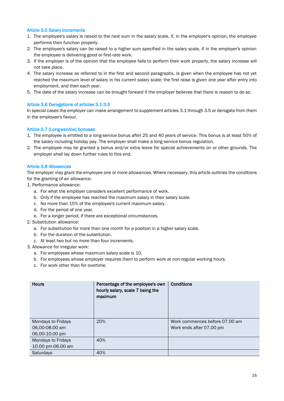#### Article 3.5 Salary increments

- 1. The employee's salary is raised to the next sum in the salary scale, if, in the employer's opinion, the employee performs their function properly.
- 2. The employee's salary can be raised to a higher sum specified in the salary scale, if in the employer's opinion the employee is delivering good or first-rate work.
- 3. If the employer is of the opinion that the employee fails to perform their work properly, the salary increase will not take place.
- 4. The salary increase as referred to in the first and second paragraphs, is given when the employee has not yet reached the maximum level of salary in his current salary scale; the first raise is given one year after entry into employment, and then each year.
- 5. The date of the salary increase can be brought forward if the employer believes that there is reason to do so.

## Article 3.6 Derogations of articles 3.1-3.5

In special cases the employer can make arrangement to supplement articles 3.1 through 3.5 or derogate from them in the employee's favour.

## Article 3.7 (Long-service) bonuses

- 1. The employee is entitled to a long-service bonus after 25 and 40 years of service. This bonus is at least 50% of the salary including holiday pay. The employer shall make a long service bonus regulation.
- 2. The employee may be granted a bonus and/or extra leave for special achievements on or other grounds. The employer shall lay down further rules to this end.

#### Article 3.8 Allowances

The employer may grant the employee one or more allowances. Where necessary, this article outlines the conditions for the granting of an allowance.

- 1. Performance allowance:
	- a. For what the employer considers excellent performance of work.
	- b. Only if the employee has reached the maximum salary in their salary scale.
	- c. No more than 15% of the employee's current maximum salary.
	- d. For the period of one year.
	- e. For a longer period, if there are exceptional circumstances.
- 2. Substitution allowance:
	- a. For substitution for more than one month for a position in a higher salary scale.
	- b. For the duration of the substitution.
	- c. At least two but no more than four increments.
- 3. Allowance for irregular work:
	- a. For employees whose maximum salary scale is 10.
	- b. For employees whose employer requires them to perform work at non-regular working hours.
	- c. For work other than for overtime.

| <b>Hours</b>                         | Percentage of the employee's own<br>hourly salary, scale 7 being the<br>maximum | <b>Conditions</b>                                          |
|--------------------------------------|---------------------------------------------------------------------------------|------------------------------------------------------------|
| Mondays to Fridays<br>06.00-08.00 am | 20%                                                                             | Work commences before 07.00 am<br>Work ends after 07.00 pm |
| 06.00-10.00 pm                       |                                                                                 |                                                            |
| Mondays to Fridays                   | 40%                                                                             |                                                            |
| 10.00 pm-06.00 am                    |                                                                                 |                                                            |
| Saturdays                            | 40%                                                                             |                                                            |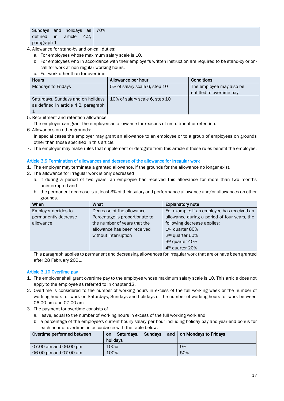| Sundays and |     | holidays as |      | 70% |  |
|-------------|-----|-------------|------|-----|--|
| defined     | in. | article     | 4.2. |     |  |
| paragraph 1 |     |             |      |     |  |

- 4. Allowance for stand-by and on-call duties:
	- a. For employees whose maximum salary scale is 10.
	- b. For employees who in accordance with their employer's written instruction are required to be stand-by or oncall for work at non-regular working hours.
	- c. For work other than for overtime.

| <b>Hours</b>                         | Allowance per hour             | <b>Conditions</b>        |
|--------------------------------------|--------------------------------|--------------------------|
| Mondays to Fridays                   | 5% of salary scale 6, step 10  | The employee may also be |
|                                      |                                | entitled to overtime pay |
| Saturdays, Sundays and on holidays   | 10% of salary scale 6, step 10 |                          |
| as defined in article 4.2, paragraph |                                |                          |
|                                      |                                |                          |

- 5. Recruitment and retention allowance:
	- The employer can grant the employee an allowance for reasons of recruitment or retention.
- 6. Allowances on other grounds:

In special cases the employer may grant an allowance to an employee or to a group of employees on grounds other than those specified in this article.

7. The employer may make rules that supplement or derogate from this article if these rules benefit the employee.

## Article 3.9 Termination of allowances and decrease of the allowance for irregular work

- 1. The employer may terminate a granted allowance, if the grounds for the allowance no longer exist.
- 2. The allowance for irregular work is only decreased
	- a. if during a period of two years, an employee has received this allowance for more than two months uninterrupted and
	- b. the permanent decrease is at least 3% of their salary and performance allowance and/or allowances on other grounds.

| When                 | What                           | <b>Explanatory note</b>                      |  |  |
|----------------------|--------------------------------|----------------------------------------------|--|--|
| Employer decides to  | Decrease of the allowance      | For example: If an employee has received an  |  |  |
| permanently decrease | Percentage is proportionate to | allowance during a period of four years, the |  |  |
| allowance            | the number of years that the   | following decrease applies:                  |  |  |
|                      | allowance has been received    | $1st$ quarter 80%                            |  |  |
|                      | without interruption           | 2 <sup>nd</sup> quarter 60%                  |  |  |
|                      |                                | 3rd quarter 40%                              |  |  |
|                      |                                | 4 <sup>th</sup> quarter 20%                  |  |  |

This paragraph applies to permanent and decreasing allowances for irregular work that are or have been granted after 28 February 2001.

## Article 3.10 Overtime pay

- 1. The employer shall grant overtime pay to the employee whose maximum salary scale is 10. This article does not apply to the employee as referred to in chapter 12.
- 2. Overtime is considered to the number of working hours in excess of the full working week or the number of working hours for work on Saturdays, Sundays and holidays or the number of working hours for work between 06.00 pm and 07.00 am.
- 3. The payment for overtime consists of
	- a. leave, equal to the number of working hours in excess of the full working work and
	- b. a percentage of the employee's current hourly salary per hour including holiday pay and year-end bonus for each hour of overtime, in accordance with the table below.

| Overtime performed between | <b>Sundays</b><br>and I<br>Saturdays.<br><b>on</b><br>holidays | on Mondays to Fridays |
|----------------------------|----------------------------------------------------------------|-----------------------|
| 07.00 am and 06.00 pm      | 100%                                                           | 0%                    |
| 06.00 pm and 07.00 am      | 100%                                                           | 50%                   |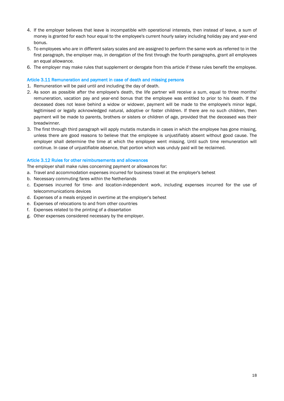- 4. If the employer believes that leave is incompatible with operational interests, then instead of leave, a sum of money is granted for each hour equal to the employee's current hourly salary including holiday pay and year-end bonus.
- 5. To employees who are in different salary scales and are assigned to perform the same work as referred to in the first paragraph, the employer may, in derogation of the first through the fourth paragraphs, grant all employees an equal allowance.
- 6. The employer may make rules that supplement or derogate from this article if these rules benefit the employee.

## Article 3.11 Remuneration and payment in case of death and missing persons

- 1. Remuneration will be paid until and including the day of death.
- 2. As soon as possible after the employee's death, the life partner will receive a sum, equal to three months' remuneration, vacation pay and year-end bonus that the employee was entitled to prior to his death. If the deceased does not leave behind a widow or widower, payment will be made to the employee's minor legal, legitimised or legally acknowledged natural, adoptive or foster children. If there are no such children, then payment will be made to parents, brothers or sisters or children of age, provided that the deceased was their breadwinner.
- 3. The first through third paragraph will apply mutatis mutandis in cases in which the employee has gone missing, unless there are good reasons to believe that the employee is unjustifiably absent without good cause. The employer shall determine the time at which the employee went missing. Until such time remuneration will continue. In case of unjustifiable absence, that portion which was unduly paid will be reclaimed.

#### Article 3.12 Rules for other reimbursements and allowances

The employer shall make rules concerning payment or allowances for:

- a. Travel and accommodation expenses incurred for business travel at the employer's behest
- b. Necessary commuting fares within the Netherlands
- c. Expenses incurred for time- and location-independent work, including expenses incurred for the use of telecommunications devices
- d. Expenses of a meals enjoyed in overtime at the employer's behest
- e. Expenses of relocations to and from other countries
- f. Expenses related to the printing of a dissertation
- g. Other expenses considered necessary by the employer.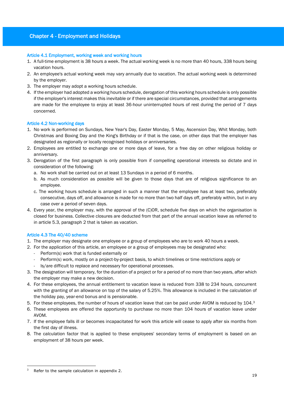## Chapter 4 - Employment and Holidays

## Article 4.1 Employment, working week and working hours

- 1. A full-time employment is 38 hours a week. The actual working week is no more than 40 hours, 338 hours being vacation hours.
- 2. An employee's actual working week may vary annually due to vacation. The actual working week is determined by the employer.
- 3. The employer may adopt a working hours schedule.
- 4. If the employer had adopted a working hours schedule, derogation of this working hours schedule is only possible if the employer's interest makes this inevitable or if there are special circumstances, provided that arrangements are made for the employee to enjoy at least 36-hour uninterrupted hours of rest during the period of 7 days concerned.

## Article 4.2 Non-working days

- 1. No work is performed on Sundays, New Year's Day, Easter Monday, 5 May, Ascension Day, Whit Monday, both Christmas and Boxing Day and the King's Birthday or if that is the case, on other days that the employer has designated as regionally or locally recognised holidays or anniversaries.
- 2. Employees are entitled to exchange one or more days of leave, for a free day on other religious holiday or anniversary.
- 3. Derogation of the first paragraph is only possible from if compelling operational interests so dictate and in consideration of the following:
	- a. No work shall be carried out on at least 13 Sundays in a period of 6 months.
	- b. As much consideration as possible will be given to those days that are of religious significance to an employee.
	- c. The working hours schedule is arranged in such a manner that the employee has at least two, preferably consecutive, days off, and allowance is made for no more than two half days off, preferably within, but in any case over a period of seven days.
- 4. Every year, the employer may, with the approval of the (C)OR, schedule five days on which the organisation is closed for business. Collective closures are deducted from that part of the annual vacation leave as referred to in article 5.3, paragraph 2 that is taken as vacation.

#### Article 4.3 The 40/40 scheme

- 1. The employer may designate one employee or a group of employees who are to work 40 hours a week.
- 2. For the application of this article, an employee or a group of employees may be designated who:
	- Perform(s) work that is funded externally or
	- Perform(s) work, mostly on a project-by-project basis, to which timelines or time restrictions apply or
	- Is/are difficult to replace and necessary for operational processes.
- 3. The designation will temporary, for the duration of a project or for a period of no more than two years, after which the employer may make a new decision.
- 4. For these employees, the annual entitlement to vacation leave is reduced from 338 to 234 hours, concurrent with the granting of an allowance on top of the salary of 5.25%. This allowance is included in the calculation of the holiday pay, year-end bonus and is pensionable.
- 5. For these employees, the number of hours of vacation leave that can be paid under AVOM is reduced by 104.<sup>3</sup>
- 6. These employees are offered the opportunity to purchase no more than 104 hours of vacation leave under AVOM.
- 7. If the employee falls ill or becomes incapacitated for work this article will cease to apply after six months from the first day of illness.
- 8. The calculation factor that is applied to these employees' secondary terms of employment is based on an employment of 38 hours per week.

<sup>&</sup>lt;u>.</u> Refer to the sample calculation in appendix 2.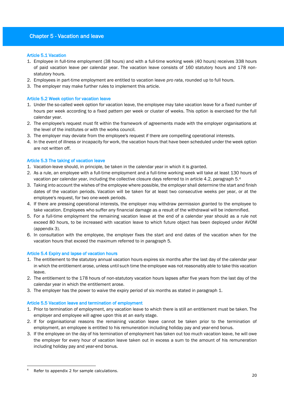## Chapter 5 - Vacation and leave

#### Article 5.1 Vacation

- 1. Employee in full-time employment (38 hours) and with a full-time working week (40 hours) receives 338 hours of paid vacation leave per calendar year. The vacation leave consists of 160 statutory hours and 178 nonstatutory hours.
- 2. Employees in part-time employment are entitled to vacation leave *pro rata*, rounded up to full hours.
- 3. The employer may make further rules to implement this article.

## Article 5.2 Week option for vacation leave

- 1. Under the so-called week option for vacation leave, the employee may take vacation leave for a fixed number of hours per week according to a fixed pattern per week or cluster of weeks. This option is exercised for the full calendar year.
- 2. The employee's request must fit within the framework of agreements made with the employer organisations at the level of the institutes or with the works council.
- 3. The employer may deviate from the employee's request if there are compelling operational interests.
- 4. In the event of illness or incapacity for work, the vacation hours that have been scheduled under the week option are not written off.

#### Article 5.3 The taking of vacation leave

- 1. Vacation-leave should, in principle, be taken in the calendar year in which it is granted.
- 2. As a rule, an employee with a full-time employment and a full-time working week will take at least 130 hours of vacation per calendar year, including the collective closure days referred to in article 4.2, paragraph 5. 4
- 3. Taking into account the wishes of the employee where possible, the employer shall determine the start and finish dates of the vacation periods. Vacation will be taken for at least two consecutive weeks per year, or at the employee's request, for two one-week periods.
- 4. If there are pressing operational interests, the employer may withdraw permission granted to the employee to take vacation. Employees who suffer any financial damage as a result of the withdrawal will be indemnified.
- 5. For a full-time employment the remaining vacation leave at the end of a calendar year should as a rule not exceed 80 hours, to be increased with vacation leave to which future object has been deployed under AVOM (appendix 3).
- 6. In consultation with the employee, the employer fixes the start and end dates of the vacation when for the vacation hours that exceed the maximum referred to in paragraph 5.

#### Article 5.4 Expiry and lapse of vacation hours

- 1. The entitlement to the statutory annual vacation hours expires six months after the last day of the calendar year in which the entitlement arose, unless until such time the employee was not reasonably able to take this vacation leave.
- 2. The entitlement to the 178 hours of non-statutory vacation hours lapses after five years from the last day of the calendar year in which the entitlement arose.
- 3. The employer has the power to waive the expiry period of six months as stated in paragraph 1.

## Article 5.5 Vacation leave and termination of employment

- 1. Prior to termination of employment, any vacation leave to which there is still an entitlement must be taken. The employer and employee will agree upon this at an early stage.
- 2. If for organisational reasons the remaining vacation leave cannot be taken prior to the termination of employment, an employee is entitled to his remuneration including holiday pay and year-end bonus.
- 3. If the employee on the day of his termination of employment has taken out too much vacation leave, he will owe the employer for every hour of vacation leave taken out in excess a sum to the amount of his remuneration including holiday pay and year-end bonus.

<sup>&</sup>lt;u>.</u> Refer to appendix 2 for sample calculations.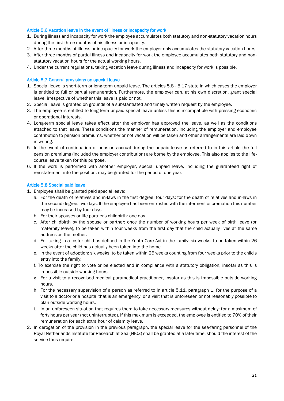#### Article 5.6 Vacation leave in the event of illness or incapacity for work

- 1. During illness and incapacity for work the employee accumulates both statutory and non-statutory vacation hours during the first three months of his illness or incapacity.
- 2. After three months of illness or incapacity for work the employer only accumulates the statutory vacation hours.
- 3. After three months of partial illness and incapacity for work the employee accumulates both statutory and nonstatutory vacation hours for the actual working hours.
- 4. Under the current regulations, taking vacation leave during illness and incapacity for work is possible.

#### Article 5.7 General provisions on special leave

- 1. Special leave is short-term or long-term unpaid leave. The articles 5.8 5.17 state in which cases the employer is entitled to full or partial remuneration. Furthermore, the employer can, at his own discretion, grant special leave, irrespective of whether this leave is paid or not.
- 2. Special leave is granted on grounds of a substantiated and timely written request by the employee.
- 3. The employee is entitled to long-term unpaid special leave unless this is incompatible with pressing economic or operational interests.
- 4. Long-term special leave takes effect after the employer has approved the leave, as well as the conditions attached to that leave. These conditions the manner of remuneration, including the employer and employee contribution to pension premiums, whether or not vacation will be taken and other arrangements are laid down in writing.
- 5. In the event of continuation of pension accrual during the unpaid leave as referred to in this article the full pension premiums (included the employer contribution) are borne by the employee. This also applies to the lifecourse leave taken for this purpose.
- 6. If the work is performed with another employer, special unpaid leave, including the guaranteed right of reinstatement into the position, may be granted for the period of one year.

#### Article 5.8 Special paid leave

- 1. Employee shall be granted paid special leave:
	- a. For the death of relatives and in-laws in the first degree: four days; for the death of relatives and in-laws in the second degree: two days. If the employee has been entrusted with the interment or cremation this number may be increased by four days.
	- b. For their spouses or life partner's childbirth: one day.
	- c. After childbirth by the spouse or partner; once the number of working hours per week of birth leave (or maternity leave), to be taken within four weeks from the first day that the child actually lives at the same address as the mother.
	- d. For taking in a foster child as defined in the Youth Care Act in the family: six weeks, to be taken within 26 weeks after the child has actually been taken into the home.
	- e. in the event of adoption: six weeks, to be taken within 26 weeks counting from four weeks prior to the child's entry into the family;
	- f. To exercise the right to vote or be elected and in compliance with a statutory obligation, insofar as this is impossible outside working hours.
	- g. For a visit to a recognised medical paramedical practitioner, insofar as this is impossible outside working hours.
	- h. For the necessary supervision of a person as referred to in article 5.11, paragraph 1, for the purpose of a visit to a doctor or a hospital that is an emergency, or a visit that is unforeseen or not reasonably possible to plan outside working hours.
	- i. In an unforeseen situation that requires them to take necessary measures without delay: for a maximum of forty hours per year (not uninterrupted). If this maximum is exceeded, the employee is entitled to 70% of their remuneration for each extra hour of calamity leave.
- 2. In derogation of the provision in the previous paragraph, the special leave for the sea-faring personnel of the Royal Netherlands Institute for Research at Sea (NIOZ) shall be granted at a later time, should the interest of the service thus require.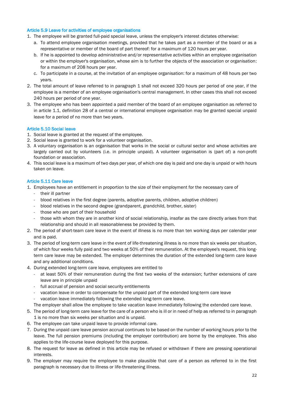#### Article 5.9 Leave for activities of employee organisations

- 1. The employee will be granted full-paid special leave, unless the employer's interest dictates otherwise:
	- a. To attend employee organisation meetings, provided that he takes part as a member of the board or as a representative or member of the board of part thereof: for a maximum of 120 hours per year.
	- b. If he is appointed to develop administrative and/or representative activities within an employee organisation or within the employer's organisation, whose aim is to further the objects of the association or organisation: for a maximum of 208 hours per year.
	- c. To participate in a course, at the invitation of an employee organisation: for a maximum of 48 hours per two years.
- 2. The total amount of leave referred to in paragraph 1 shall not exceed 320 hours per period of one year, if the employee is a member of an employee organisation's central management. In other cases this shall not exceed 240 hours per period of one year.
- 3. The employee who has been appointed a paid member of the board of an employee organisation as referred to in article 1.1, definition 28 of a central or international employee organisation may be granted special unpaid leave for a period of no more than two years.

## Article 5.10 Social leave

- 1. Social leave is granted at the request of the employee.
- 2. Social leave is granted to work for a volunteer organisation.
- 3. A voluntary organisation is an organisation that works in the social or cultural sector and whose activities are largely carried out by volunteers (i.e. in principle unpaid). A volunteer organisation is (part of) a non-profit foundation or association.
- 4. This social leave is a maximum of two days per year, of which one day is paid and one day is unpaid or with hours taken on leave.

## Article 5.11 Care leave

- 1. Employees have an entitlement in proportion to the size of their employment for the necessary care of
	- their ill partner
	- blood relatives in the first degree (parents, adoptive parents, children, adoptive children)
	- blood relatives in the second degree (grandparent, grandchild, brother, sister)
	- those who are part of their household
	- those with whom they are in another kind of social relationship, insofar as the care directly arises from that relationship and should in all reasonableness be provided by them.
- 2. The period of short-team care leave in the event of illness is no more than ten working days per calendar year and is paid.
- 3. The period of long-term care leave in the event of life-threatening illness is no more than six weeks per situation, of which four weeks fully paid and two weeks at 50% of their remuneration. At the employee's request, this longterm care leave may be extended. The employer determines the duration of the extended long-term care leave and any additional conditions.
- 4. During extended long-term care leave, employees are entitled to
	- at least 50% of their remuneration during the first two weeks of the extension; further extensions of care leave are in principle unpaid
	- full accrual of pension and social security entitlements
	- vacation leave in order to compensate for the unpaid part of the extended long-term care leave
	- vacation leave immediately following the extended long-term care leave.
	- The employer shall allow the employee to take vacation leave immediately following the extended care leave.
- 5. The period of long-term care leave for the care of a person who is ill or in need of help as referred to in paragraph 1 is no more than six weeks per situation and is unpaid.
- 6. The employee can take unpaid leave to provide informal care.
- 7. During the unpaid care leave pension accrual continues to be based on the number of working hours prior to the leave. The full pension premiums (including the employer contribution) are borne by the employee. This also applies to the life-course leave deployed for this purpose.
- 8. The request for leave as defined in this article may be refused or withdrawn if there are pressing operational interests.
- 9. The employer may require the employee to make plausible that care of a person as referred to in the first paragraph is necessary due to illness or life-threatening illness.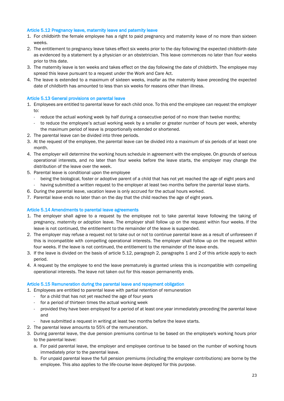#### Article 5.12 Pregnancy leave, maternity leave and paternity leave

- 1. For childbirth the female employee has a right to paid pregnancy and maternity leave of no more than sixteen weeks.
- 2. The entitlement to pregnancy leave takes effect six weeks prior to the day following the expected childbirth date as evidenced by a statement by a physician or an obstetrician. This leave commences no later than four weeks prior to this date.
- 3. The maternity leave is ten weeks and takes effect on the day following the date of childbirth. The employee may spread this leave pursuant to a request under the Work and Care Act.
- 4. The leave is extended to a maximum of sixteen weeks, insofar as the maternity leave preceding the expected date of childbirth has amounted to less than six weeks for reasons other than illness.

## Article 5.13 General provisions on parental leave

- 1. Employees are entitled to parental leave for each child once. To this end the employee can request the employer to:
	- reduce the actual working week by half during a consecutive period of no more than twelve months;
	- to reduce the employee's actual working week by a smaller or greater number of hours per week, whereby the maximum period of leave is proportionally extended or shortened.
- 2. The parental leave can be divided into three periods.
- 3. At the request of the employee, the parental leave can be divided into a maximum of six periods of at least one month.
- 4. The employer will determine the working hours schedule in agreement with the employee. On grounds of serious operational interests, and no later than four weeks before the leave starts, the employer may change the distribution of the leave over the week.
- 5. Parental leave is conditional upon the employee
	- being the biological, foster or adoptive parent of a child that has not yet reached the age of eight years and having submitted a written request to the employer at least two months before the parental leave starts.
- 6. During the parental leave, vacation leave is only accrued for the actual hours worked.
- 7. Parental leave ends no later than on the day that the child reaches the age of eight years.

#### Article 5.14 Amendments to parental leave agreements

- 1. The employer shall agree to a request by the employee not to take parental leave following the taking of pregnancy, maternity or adoption leave. The employer shall follow up on the request within four weeks. If the leave is not continued, the entitlement to the remainder of the leave is suspended.
- 2. The employer may refuse a request not to take out or not to continue parental leave as a result of unforeseen if this is incompatible with compelling operational interests. The employer shall follow up on the request within four weeks. If the leave is not continued, the entitlement to the remainder of the leave ends.
- 3. If the leave is divided on the basis of article 5.12, paragraph 2, paragraphs 1 and 2 of this article apply to each period.
- 4. A request by the employee to end the leave prematurely is granted unless this is incompatible with compelling operational interests. The leave not taken out for this reason permanently ends.

## Article 5.15 Remuneration during the parental leave and repayment obligation

- 1. Employees are entitled to parental leave with partial retention of remuneration
	- for a child that has not yet reached the age of four years
	- for a period of thirteen times the actual working week
	- provided they have been employed for a period of at least one year immediately preceding the parental leave and
	- have submitted a request in writing at least two months before the leave starts.
- 2. The parental leave amounts to 55% of the remuneration.
- 3. During parental leave, the due pension premiums continue to be based on the employee's working hours prior to the parental leave:
	- a. For paid parental leave, the employer and employee continue to be based on the number of working hours immediately prior to the parental leave.
	- b. For unpaid parental leave the full pension premiums (including the employer contributions) are borne by the employee. This also applies to the life-course leave deployed for this purpose.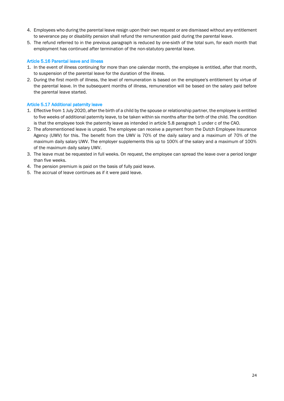- 4. Employees who during the parental leave resign upon their own request or are dismissed without any entitlement to severance pay or disability pension shall refund the remuneration paid during the parental leave.
- 5. The refund referred to in the previous paragraph is reduced by one-sixth of the total sum, for each month that employment has continued after termination of the non-statutory parental leave.

## Article 5.16 Parental leave and illness

- 1. In the event of illness continuing for more than one calendar month, the employee is entitled, after that month, to suspension of the parental leave for the duration of the illness.
- 2. During the first month of illness, the level of remuneration is based on the employee's entitlement by virtue of the parental leave. In the subsequent months of illness, remuneration will be based on the salary paid before the parental leave started.

## Article 5.17 Additional paternity leave

- 1. Effective from 1 July 2020, after the birth of a child by the spouse or relationship partner, the employee is entitled to five weeks of additional paternity leave, to be taken within six months after the birth of the child. The condition is that the employee took the paternity leave as intended in article 5.8 paragraph 1 under c of the CAO.
- 2. The aforementioned leave is unpaid. The employee can receive a payment from the Dutch Employee Insurance Agency (UWV) for this. The benefit from the UWV is 70% of the daily salary and a maximum of 70% of the maximum daily salary UWV. The employer supplements this up to 100% of the salary and a maximum of 100% of the maximum daily salary UWV.
- 3. The leave must be requested in full weeks. On request, the employee can spread the leave over a period longer than five weeks.
- 4. The pension premium is paid on the basis of fully paid leave.
- 5. The accrual of leave continues as if it were paid leave.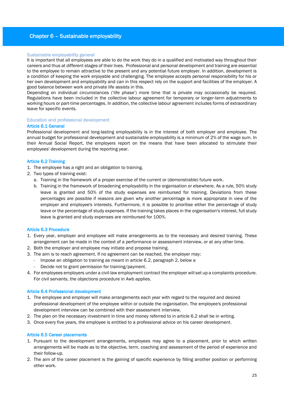## Chapter 6 – Sustainable employability

#### Sustainable employability general

It is important that all employees are able to do the work they do in a qualified and motivated way throughout their careers and thus at different stages of their lives. Professional and personal development and training are essential to the employee to remain attractive to the present and any potential future employer. In addition, development is a condition of keeping the work enjoyable and challenging. The employee accepts personal responsibility for his or her own development and employability and can in this respect rely on the support and facilities of the employer. A good balance between work and private life assists in this.

Depending on individual circumstances ('life phase') more time that is private may occasionally be required. Regulations have been included in the collective labour agreement for temporary or longer-term adjustments to working hours or part-time percentages. In addition, the collective labour agreement includes forms of extraordinary leave for specific events.

#### Education and professional development

#### Article 6.1 General

Professional development and long-lasting employability is in the interest of both employer and employee. The annual budget for professional development and sustainable employability is a minimum of 2% of the wage sum. In their Annual Social Report, the employers report on the means that have been allocated to stimulate their employees' development during the reporting year.

#### Article 6.2 Training

- 1. The employee has a right and an obligation to training.
- 2. Two types of training exist:
	- a. Training in the framework of a proper exercise of the current or (demonstrable) future work.
	- b. Training in the framework of broadening employability in the organisation or elsewhere. As a rule, 50% study leave is granted and 50% of the study expenses are reimbursed for training. Deviations from these percentages are possible if reasons are given why another percentage is more appropriate in view of the employer and employee's interests. Furthermore, it is possible to prioritise either the percentage of study leave or the percentage of study expenses. If the training takes places in the organisation's interest, full study leave is granted and study expenses are reimbursed for 100%.

#### Article 6.3 Procedure

- 1. Every year, employer and employee will make arrangements as to the necessary and desired training. These arrangement can be made in the context of a performance or assessment interview, or at any other time.
- 2. Both the employer and employee may initiate and propose training.
- 3. The aim is to reach agreement. If no agreement can be reached, the employer may:
	- Impose an obligation to training as meant in article 6.2, paragraph 2, below a
	- Decide not to grant permission for training/payment.
- 4. For employees employers under a civil-law employment contract the employer will set up a complaints procedure. For civil servants, the objections procedure in Awb applies.

#### Article 6.4 Professional development

- 1. The employee and employer will make arrangements each year with regard to the required and desired professional development of the employee within or outside the organisation. The employee's professional development interview can be combined with their assessment interview.
- 2. The plan on the necessary investment in time and money referred to in article 6.2 shall be in writing.
- 3. Once every five years, the employee is entitled to a professional advice on his career development.

#### Article 6.5 Career placements

- 1. Pursuant to the development arrangements, employees may agree to a placement, prior to which written arrangements will be made as to the objective, term, coaching and assessment of the period of experience and their follow-up.
- 2. The aim of the career placement is the gaining of specific experience by filling another position or performing other work.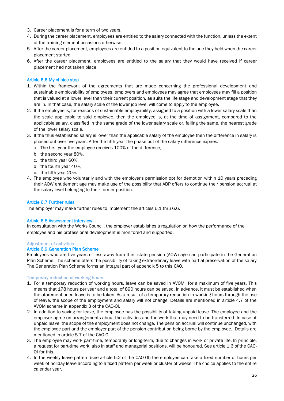- 3. Career placement is for a term of two years.
- 4. During the career placement, employees are entitled to the salary connected with the function, unless the extent of the training element occasions otherwise.
- 5. After the career placement, employees are entitled to a position equivalent to the one they held when the career placement started.
- 6. After the career placement, employees are entitled to the salary that they would have received if career placement had not taken place.

## Article 6.6 My choice step

- 1. Within the framework of the agreements that are made concerning the professional development and sustainable employability of employees, employers and employees may agree that employees may fill a position that is valued at a lower level than their current position, as suits the life stage and development stage that they are in. In that case, the salary scale of the lower job level will come to apply to the employee.
- 2. If the employee is, for reasons of sustainable employability, assigned to a position with a lower salary scale than the scale applicable to said employee, then the employee is, at the time of assignment, compared to the applicable salary, classified in the same grade of the lower salary scale or, failing the same, the nearest grade of the lower salary scale.
- 3. If the thus established salary is lower than the applicable salary of the employee then the difference in salary is phased out over five years. After the fifth year the phase-out of the salary difference expires.
	- a. The first year the employee receives 100% of the difference,
	- b. the second year 80%,
	- c. the third year 60%,
	- d. the fourth year 40%,
	- e. the fifth year 20%.
- 4. The employee who voluntarily and with the employer's permission opt for demotion within 10 years preceding their AOW entitlement age may make use of the possibility that ABP offers to continue their pension accrual at the salary level belonging to their former position.

#### Article 6.7 Further rules

The employer may make further rules to implement the articles 6.1 thru 6.6.

#### Article 6.8 Assessment interview

In consultation with the Works Council, the employer establishes a regulation on how the performance of the employee and his professional development is monitored and supported.

#### Adjustment of activities

#### Article 6.9 Generation Plan Scheme

Employees who are five years of less away from their state pension (AOW) age can participate in the Generation Plan Scheme. The scheme offers the possibility of taking extraordinary leave with partial preservation of the salary The Generation Plan Scheme forms an integral part of appendix 5 to this CAO.

#### Temporary reduction of working hours

- 1. For a temporary reduction of working hours, leave can be saved in AVOM for a maximum of five years. This means that 178 hours per year and a total of 890 hours can be saved. In advance, it must be established when the aforementioned leave is to be taken. As a result of a temporary reduction in working hours through the use of leave, the scope of the employment and salary will not change. Details are mentioned in article 4.7 of the AVOM scheme in appendix 3 of the CAO-OI.
- 2. In addition to saving for leave, the employee has the possibility of taking unpaid leave. The employee and the employer agree on arrangements about the activities and the work that may need to be transferred. In case of unpaid leave, the scope of the employment does not change. The pension accrual will continue unchanged, with the employee part and the employer part of the pension contribution being borne by the employee. Details are mentioned in article 5.7 of the CAO-OI.
- 3. The employee may work part-time, temporarily or long-term, due to changes in work or private life. In principle, a request for part-time work, also in staff and managerial positions, will be honoured. See article 1.6 of the CAO-OI for this.
- 4. In the weekly leave pattern (see article 5.2 of the CAO-OI) the employee can take a fixed number of hours per week of holiday leave according to a fixed pattern per week or cluster of weeks. The choice applies to the entire calendar year.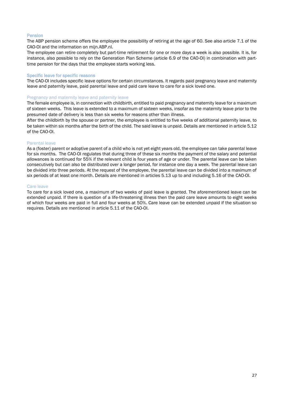#### Pension

The ABP pension scheme offers the employee the possibility of retiring at the age of 60. See also article 7.1 of the CAO-OI and the information on mijn.ABP.nl.

The employee can retire completely but part-time retirement for one or more days a week is also possible. It is, for instance, also possible to rely on the Generation Plan Scheme (article 6.9 of the CAO-OI) in combination with parttime pension for the days that the employee starts working less.

#### Specific leave for specific reasons

The CAO-OI includes specific leave options for certain circumstances. It regards paid pregnancy leave and maternity leave and paternity leave, paid parental leave and paid care leave to care for a sick loved one.

#### Pregnancy and maternity leave and paternity leave

The female employee is, in connection with childbirth, entitled to paid pregnancy and maternity leave for a maximum of sixteen weeks. This leave is extended to a maximum of sixteen weeks, insofar as the maternity leave prior to the presumed date of delivery is less than six weeks for reasons other than illness.

After the childbirth by the spouse or partner, the employee is entitled to five weeks of additional paternity leave, to be taken within six months after the birth of the child. The said leave is unpaid. Details are mentioned in article 5.12 of the CAO-OI.

#### Parental leave

As a (foster) parent or adoptive parent of a child who is not yet eight years old, the employee can take parental leave for six months. The CAO-OI regulates that during three of these six months the payment of the salary and potential allowances is continued for 55% if the relevant child is four years of age or under. The parental leave can be taken consecutively but can also be distributed over a longer period, for instance one day a week. The parental leave can be divided into three periods. At the request of the employee, the parental leave can be divided into a maximum of six periods of at least one month. Details are mentioned in articles 5.13 up to and including 5.16 of the CAO-OI.

#### Care leave

To care for a sick loved one, a maximum of two weeks of paid leave is granted. The aforementioned leave can be extended unpaid. If there is question of a life-threatening illness then the paid care leave amounts to eight weeks of which four weeks are paid in full and four weeks at 50%. Care leave can be extended unpaid if the situation so requires. Details are mentioned in article 5.11 of the CAO-OI.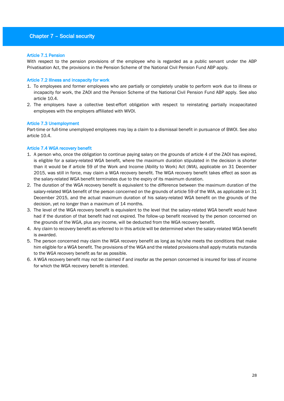## Chapter 7 – Social security

#### Article 7.1 Pension

With respect to the pension provisions of the employee who is regarded as a public servant under the ABP Privatisation Act, the provisions in the Pension Scheme of the National Civil Pension Fund ABP apply.

#### Article 7.2 Illness and incapacity for work

- 1. To employees and former employees who are partially or completely unable to perform work due to illness or incapacity for work, the ZAOI and the Pension Scheme of the National Civil Pension Fund ABP apply. See also article 10.4.
- 2. The employers have a collective best-effort obligation with respect to reinstating partially incapacitated employees with the employers affiliated with WVOI.

## Article 7.3 Unemployment

Part-time or full-time unemployed employees may lay a claim to a dismissal benefit in pursuance of BWOI. See also article 10.4.

## Article 7.4 WGA recovery benefit

- 1. A person who, once the obligation to continue paying salary on the grounds of article 4 of the ZAOI has expired, is eligible for a salary-related WGA benefit, where the maximum duration stipulated in the decision is shorter than it would be if article 59 of the Work and Income (Ability to Work) Act (WIA), applicable on 31 December 2015, was still in force, may claim a WGA recovery benefit. The WGA recovery benefit takes effect as soon as the salary-related WGA benefit terminates due to the expiry of its maximum duration.
- 2. The duration of the WGA recovery benefit is equivalent to the difference between the maximum duration of the salary-related WGA benefit of the person concerned on the grounds of article 59 of the WIA, as applicable on 31 December 2015, and the actual maximum duration of his salary-related WGA benefit on the grounds of the decision, yet no longer than a maximum of 14 months.
- 3. The level of the WGA recovery benefit is equivalent to the level that the salary-related WGA benefit would have had if the duration of that benefit had not expired. The follow-up benefit received by the person concerned on the grounds of the WGA, plus any income, will be deducted from the WGA recovery benefit.
- 4. Any claim to recovery benefit as referred to in this article will be determined when the salary-related WGA benefit is awarded.
- 5. The person concerned may claim the WGA recovery benefit as long as he/she meets the conditions that make him eligible for a WGA benefit. The provisions of the WGA and the related provisions shall apply mutatis mutandis to the WGA recovery benefit as far as possible.
- 6. A WGA recovery benefit may not be claimed if and insofar as the person concerned is insured for loss of income for which the WGA recovery benefit is intended.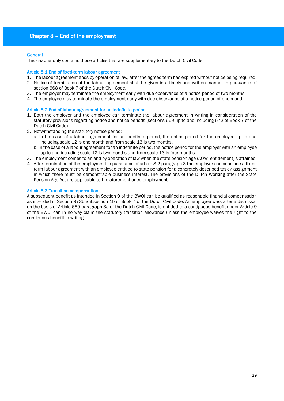## Chapter 8 – End of the employment

#### **General**

This chapter only contains those articles that are supplementary to the Dutch Civil Code.

#### Article 8.1 End of fixed-term labour agreement

- 1. The labour agreement ends by operation of law, after the agreed term has expired without notice being required.
- 2. Notice of termination of the labour agreement shall be given in a timely and written manner in pursuance of section 668 of Book 7 of the Dutch Civil Code.
- 3. The employer may terminate the employment early with due observance of a notice period of two months.
- 4. The employee may terminate the employment early with due observance of a notice period of one month.

#### Article 8.2 End of labour agreement for an indefinite period

- 1. Both the employer and the employee can terminate the labour agreement in writing in consideration of the statutory provisions regarding notice and notice periods (sections 669 up to and including 672 of Book 7 of the Dutch Civil Code).
- 2. Notwithstanding the statutory notice period:
	- a. In the case of a labour agreement for an indefinite period, the notice period for the employee up to and including scale 12 is one month and from scale 13 is two months.
	- b. In the case of a labour agreement for an indefinite period, the notice period for the employer with an employee up to and including scale 12 is two months and from scale 13 is four months.
- 3. The employment comes to an end by operation of law when the state pension age (AOW- entitlement)is attained.
- 4. After termination of the employment in pursuance of article 8.2 paragraph 3 the employer can conclude a fixedterm labour agreement with an employee entitled to state pension for a concretely described task / assignment in which there must be demonstrable business interest. The provisions of the Dutch Working after the State Pension Age Act are applicable to the aforementioned employment.

#### Article 8.3 Transition compensation

A subsequent benefit as intended in Section 9 of the BWOI can be qualified as reasonable financial compensation as intended in Section 873b Subsection 1b of Book 7 of the Dutch Civil Code. An employee who, after a dismissal on the basis of Article 669 paragraph 3a of the Dutch Civil Code, is entitled to a contiguous benefit under Article 9 of the BWOI can in no way claim the statutory transition allowance unless the employee waives the right to the contiguous benefit in writing.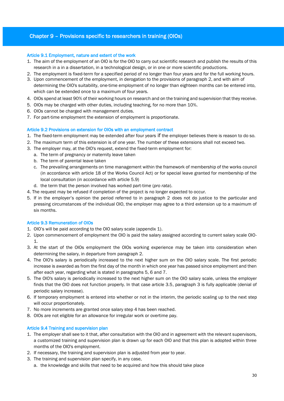## Chapter 9 – Provisions specific to researchers in training (OIOs)

#### Article 9.1 Employment, nature and extent of the work

- 1. The aim of the employment of an OIO is for the OIO to carry out scientific research and publish the results of this research in a in a dissertation, in a technological design, or in one or more scientific productions.
- 2. The employment is fixed-term for a specified period of no longer than four years and for the full working hours.
- 3. Upon commencement of the employment, in derogation to the provisions of paragraph 2, and with aim of determining the OIO's suitability, one-time employment of no longer than eighteen months can be entered into, which can be extended once to a maximum of four years.
- 4. OIOs spend at least 90% of their working hours on research and on the training and supervision that they receive.
- 5. OIOs may be charged with other duties, including teaching, for no more than 10%.
- 6. OIOs cannot be charged with management duties.
- 7. For part-time employment the extension of employment is proportionate.

#### Article 9.2 Provisions on extension for OIOs with an employment contract

- 1. The fixed-term employment may be extended after four years if the employer believes there is reason to do so.
- 2. The maximum term of this extension is of one year. The number of these extensions shall not exceed two.
- 3. The employer may, at the OIO's request, extend the fixed-term employment for:
	- a. The term of pregnancy or maternity leave taken
	- b. The term of parental leave taken
	- c. The prevailing arrangements on time management within the framework of membership of the works council (in accordance with article 18 of the Works Council Act) or for special leave granted for membership of the local consultation (in accordance with article 5.9)
	- d. the term that the person involved has worked part-time (*pro rata*).
- 4. The request may be refused if completion of the project is no longer expected to occur.
- 5. If in the employer's opinion the period referred to in paragraph 2 does not do justice to the particular and pressing circumstances of the individual OIO, the employer may agree to a third extension up to a maximum of six months.

#### Article 9.3 Remuneration of OIOs

- 1. OIO's will be paid according to the OIO salary scale (appendix 1).
- 2. Upon commencement of employment the OIO is paid the salary assigned according to current salary scale OIO-1.
- 3. At the start of the OIOs employment the OIOs working experience may be taken into consideration when determining the salary, in departure from paragraph 2.
- 4. The OIO's salary is periodically increased to the next higher sum on the OIO salary scale. The first periodic increase is awarded as from the first day of the month in which one year has passed since employment and then after each year, regarding what is stated in paragraphs 5, 6 and 7.
- 5. The OIO's salary is periodically increased to the next higher sum on the OIO salary scale, unless the employer finds that the OIO does not function properly. In that case article 3.5, paragraph 3 is fully applicable (denial of periodic salary increase).
- 6. If temporary employment is entered into whether or not in the interim, the periodic scaling up to the next step will occur proportionately.
- 7. No more increments are granted once salary step 4 has been reached.
- 8. OIOs are not eligible for an allowance for irregular work or overtime pay.

#### Article 9.4 Training and supervision plan

- 1. The employer shall see to it that, after consultation with the OIO and in agreement with the relevant supervisors, a customized training and supervision plan is drawn up for each OIO and that this plan is adopted within three months of the OIO's employment.
- 2. If necessary, the training and supervision plan is adjusted from year to year.
- 3. The training and supervision plan specify, in any case,
	- a. the knowledge and skills that need to be acquired and how this should take place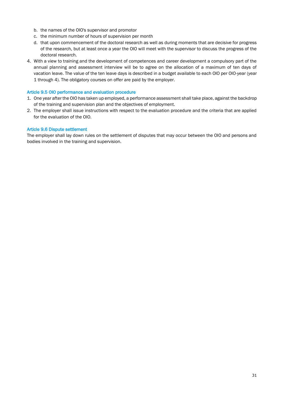- b. the names of the OIO's supervisor and promotor
- c. the minimum number of hours of supervision per month
- d. that upon commencement of the doctoral research as well as during moments that are decisive for progress of the research, but at least once a year the OIO will meet with the supervisor to discuss the progress of the doctoral research.
- 4. With a view to training and the development of competences and career development a compulsory part of the annual planning and assessment interview will be to agree on the allocation of a maximum of ten days of vacation leave. The value of the ten leave days is described in a budget available to each OIO per OIO-year (year 1 through 4). The obligatory courses on offer are paid by the employer.

#### Article 9.5 OIO performance and evaluation procedure

- 1. One year after the OIO has taken up employed, a performance assessment shall take place, against the backdrop of the training and supervision plan and the objectives of employment.
- 2. The employer shall issue instructions with respect to the evaluation procedure and the criteria that are applied for the evaluation of the OIO.

## Article 9.6 Dispute settlement

The employer shall lay down rules on the settlement of disputes that may occur between the OIO and persons and bodies involved in the training and supervision.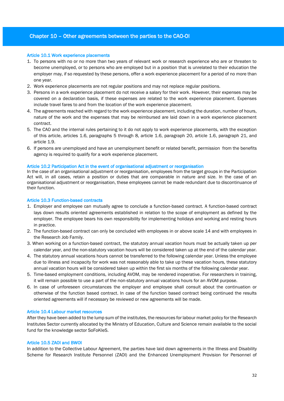## Chapter 10 – Other agreements between the parties to the CAO-OI

#### Article 10.1 Work experience placements

- 1. To persons with no or no more than two years of relevant work or research experience who are or threaten to become unemployed, or to persons who are employed but in a position that is unrelated to their education the employer may, if so requested by these persons, offer a work experience placement for a period of no more than one year.
- 2. Work experience placements are not regular positions and may not replace regular positions.
- 3. Persons in a work experience placement do not receive a salary for their work. However, their expenses may be covered on a declaration basis, if these expenses are related to the work experience placement. Expenses include travel fares to and from the location of the work experience placement.
- 4. The agreements reached with regard to the work experience placement, including the duration, number of hours, nature of the work and the expenses that may be reimbursed are laid down in a work experience placement contract.
- 5. The CAO and the internal rules pertaining to it do not apply to work experience placements, with the exception of this article, articles 1.6, paragraphs 5 through 8, article 1.6, paragraph 20, article 1.6, paragraph 21, and article 1.9.
- 6. If persons are unemployed and have an unemployment benefit or related benefit, permission from the benefits agency is required to qualify for a work experience placement.

#### Article 10.2 Participation Act in the event of organisational adjustment or reorganisation

In the case of an organisational adjustment or reorganisation, employees from the target groups in the Participation Act will, in all cases, retain a position or duties that are comparable in nature and size. In the case of an organisational adjustment or reorganisation, these employees cannot be made redundant due to discontinuance of their function.

#### Article 10.3 Function-based contracts

- 1. Employer and employee can mutually agree to conclude a function-based contract. A function-based contract lays down results oriented agreements established in relation to the scope of employment as defined by the employer. The employee bears his own responsibility for implementing holidays and working and resting hours in practice.
- 2. The function-based contract can only be concluded with employees in or above scale 14 and with employees in the Research Job Family.
- 3. When working on a function-based contract, the statutory annual vacation hours must be actually taken up per calendar year, and the non-statutory vacation hours will be considered taken up at the end of the calendar year.
- 4. The statutory annual vacations hours cannot be transferred to the following calendar year. Unless the employee due to illness and incapacity for work was not reasonably able to take up these vacation hours, these statutory annual vacation hours will be considered taken up within the first six months of the following calendar year.
- 5. Time-based employment conditions, including AVOM, may be rendered inoperative. For researchers in training, it will remain possible to use a part of the non-statutory annual vacations hours for an AVOM purpose.
- 6. In case of unforeseen circumstances the employer and employee shall consult about the continuation or otherwise of the function based contract. In case of the function based contract being continued the results oriented agreements will if necessary be reviewed or new agreements will be made.

#### Article 10.4 Labour market resources

After they have been added to the lump sum of the institutes, the resources for labour market policy for the Research Institutes Sector currently allocated by the Ministry of Education, Culture and Science remain available to the social fund for the knowledge sector SoFoKleS.

#### Article 10.5 ZAOI and BWOI

In addition to the Collective Labour Agreement, the parties have laid down agreements in the Illness and Disability Scheme for Research Institute Personnel (ZAOI) and the Enhanced Unemployment Provision for Personnel of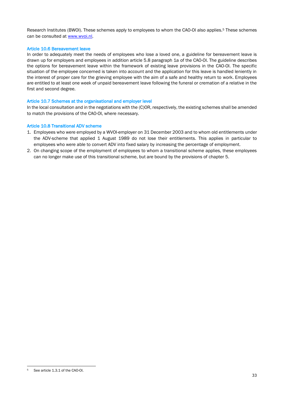Research Institutes (BWOI). These schemes apply to employees to whom the CAO-OI also applies.<sup>5</sup> These schemes can be consulted at [www.wvoi.nl.](http://www.wvoi.nl/)

#### Article 10.6 Bereavement leave

In order to adequately meet the needs of employees who lose a loved one, a guideline for bereavement leave is drawn up for employers and employees in addition article 5.8 paragraph 1a of the CAO-OI. The guideline describes the options for bereavement leave within the framework of existing leave provisions in the CAO-OI. The specific situation of the employee concerned is taken into account and the application for this leave is handled leniently in the interest of proper care for the grieving employee with the aim of a safe and healthy return to work. Employees are entitled to at least one week of unpaid bereavement leave following the funeral or cremation of a relative in the first and second degree.

#### Article 10.7 Schemes at the organisational and employer level

In the local consultation and in the negotiations with the (C)OR, respectively, the existing schemes shall be amended to match the provisions of the CAO-OI, where necessary.

#### Article 10.8 Transitional ADV scheme

- 1. Employees who were employed by a WVOI-employer on 31 December 2003 and to whom old entitlements under the ADV-scheme that applied 1 August 1989 do not lose their entitlements. This applies in particular to employees who were able to convert ADV into fixed salary by increasing the percentage of employment.
- 2. On changing scope of the employment of employees to whom a transitional scheme applies, these employees can no longer make use of this transitional scheme, but are bound by the provisions of chapter 5.

<sup>&</sup>lt;u>.</u> <sup>5</sup> See article 1.3.1 of the CAO-OI.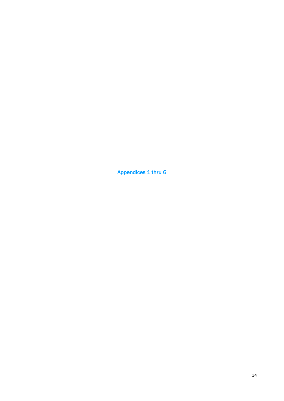Appendices 1 thru 6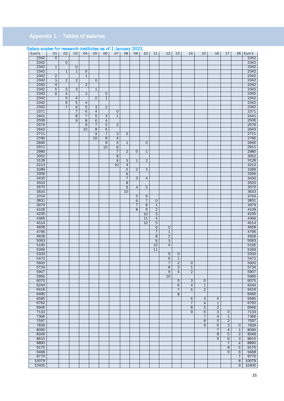## Appendix 1 – Tables of salaries

| <u>Salary Source Tor Tescurent inistitutes</u><br>Euro's | 01              | 02                  | 03              | 04             | 05              | uv vi<br>06     | 07             | 08 <sub>1</sub>         | $\pm$ Julianity $\angle$<br>09 | 10             | 11              | 12 <sup>2</sup> | 13             | 14                  | 15             | 16             | 17             |                | 18 Euro's |
|----------------------------------------------------------|-----------------|---------------------|-----------------|----------------|-----------------|-----------------|----------------|-------------------------|--------------------------------|----------------|-----------------|-----------------|----------------|---------------------|----------------|----------------|----------------|----------------|-----------|
| 2342                                                     | $\mathbf{O}$    |                     |                 |                |                 |                 |                |                         |                                |                |                 |                 |                |                     |                |                |                |                | 2342      |
| 2342                                                     |                 | $\overline{0}$      |                 |                |                 |                 |                |                         |                                |                |                 |                 |                |                     |                |                |                |                | 2342      |
| 2342                                                     | $\mathbf{1}$    |                     | $\mathsf{O}$    |                |                 |                 |                |                         |                                |                |                 |                 |                |                     |                |                |                |                | 2342      |
| 2342                                                     |                 | $\mathbf{1}$        | $\mathbf{1}$    | $\circ$        |                 |                 |                |                         |                                |                |                 |                 |                |                     |                |                |                |                | 2342      |
| 2342                                                     | $\overline{2}$  |                     |                 | $\mathbf{1}$   |                 |                 |                |                         |                                |                |                 |                 |                |                     |                |                |                |                | 2342      |
| 2342                                                     | 3               | $\overline{2}$      | $\overline{2}$  |                | $\mathsf{O}$    |                 |                |                         |                                |                |                 |                 |                |                     |                |                |                |                | 2342      |
| 2342                                                     | 4               |                     |                 | $\overline{2}$ |                 |                 |                |                         |                                |                |                 |                 |                |                     |                |                |                |                | 2342      |
| 2342                                                     | $5\overline{)}$ | $\overline{\omega}$ | 3               |                | $\mathbf{1}$    |                 |                |                         |                                |                |                 |                 |                |                     |                |                |                |                | 2342      |
| 2342                                                     | 6               | 4                   |                 | 3              |                 | $\mathsf{O}$    |                |                         |                                |                |                 |                 |                |                     |                |                |                |                | 2342      |
| 2342                                                     |                 | $5\overline{)}$     | 4               |                | $\overline{2}$  | $\mathbf{1}$    |                |                         |                                |                |                 |                 |                |                     |                |                |                |                | 2342      |
| 2342                                                     |                 | 6                   | $5\overline{)}$ | 4              |                 |                 |                |                         |                                |                |                 |                 |                |                     |                |                |                |                | 2342      |
| 2342                                                     |                 | $\overline{7}$      | $6 \overline{}$ | 5              | $\omega$        | $\overline{2}$  |                |                         |                                |                |                 |                 |                |                     |                |                |                |                | 2342      |
| 2371                                                     |                 |                     | $\overline{7}$  | 6              | $\overline{4}$  |                 | $\mathsf{O}$   |                         |                                |                |                 |                 |                |                     |                |                |                |                | 2371      |
| 2441                                                     |                 |                     | 8               | $\overline{7}$ | $5\overline{)}$ | 3               | $\mathbf{1}$   |                         |                                |                |                 |                 |                |                     |                |                |                |                | 2441      |
| 2506                                                     |                 |                     | 9               | 8              | 6               | $\overline{4}$  |                |                         |                                |                |                 |                 |                |                     |                |                |                |                | 2506      |
| 2576                                                     |                 |                     |                 | 9              | $\overline{7}$  | $5\overline{)}$ | $\overline{2}$ |                         |                                |                |                 |                 |                |                     |                |                |                |                | 2576      |
| 2643                                                     |                 |                     |                 | 10             | 8               | 6               |                |                         |                                |                |                 |                 |                |                     |                |                |                |                | 2643      |
| 2711                                                     |                 |                     |                 |                | 9               | $\overline{7}$  | $\mathbf{3}$   | $\circ$                 |                                |                |                 |                 |                |                     |                |                |                |                | 2711      |
| 2780                                                     |                 |                     |                 |                | 10              | 8               | 4              |                         |                                |                |                 |                 |                |                     |                |                |                |                | 2780      |
| 2846                                                     |                 |                     |                 |                |                 | $\overline{9}$  | 5              | $\overline{1}$          |                                | $\overline{0}$ |                 |                 |                |                     |                |                |                |                | 2846      |
| 2911                                                     |                 |                     |                 |                |                 | 10              | 6              |                         |                                |                |                 |                 |                |                     |                |                |                |                | 2911      |
| 2980                                                     |                 |                     |                 |                |                 |                 | $\overline{7}$ | $\overline{2}$          | $\circ$                        | 1              |                 |                 |                |                     |                |                |                |                | 2980      |
| 3052                                                     |                 |                     |                 |                |                 |                 | 8              |                         |                                |                |                 |                 |                |                     |                |                |                |                | 3052      |
| 3128                                                     |                 |                     |                 |                |                 |                 | $\overline{9}$ | $\overline{\omega}$     | $\mathbf{1}$                   | $\overline{2}$ |                 |                 |                |                     |                |                |                |                | 3128      |
| 3213                                                     |                 |                     |                 |                |                 |                 | 10             | $\overline{4}$          |                                |                |                 |                 |                |                     |                |                |                |                | 3213      |
| 3289                                                     |                 |                     |                 |                |                 |                 |                | $5\overline{)}$         | $\overline{2}$                 | 3              |                 |                 |                |                     |                |                |                |                | 3289      |
| 3356                                                     |                 |                     |                 |                |                 |                 |                | 6                       |                                |                |                 |                 |                |                     |                |                |                |                | 3356      |
| 3430                                                     |                 |                     |                 |                |                 |                 |                | $\overline{7}$          | 3                              | 4              |                 |                 |                |                     |                |                |                |                | 3430      |
| 3503                                                     |                 |                     |                 |                |                 |                 |                | $\overline{\mathbf{8}}$ |                                |                |                 |                 |                |                     |                |                |                |                | 3503      |
| 3570                                                     |                 |                     |                 |                |                 |                 |                | 9                       | $\overline{4}$                 | 5              |                 |                 |                |                     |                |                |                |                | 3570      |
| 3633                                                     |                 |                     |                 |                |                 |                 |                | 10                      |                                |                |                 |                 |                |                     |                |                |                |                | 3633      |
| 3704                                                     |                 |                     |                 |                |                 |                 |                |                         | 5                              | 6              |                 |                 |                |                     |                |                |                |                | 3704      |
| 3831                                                     |                 |                     |                 |                |                 |                 |                |                         | 6                              | $\overline{7}$ | $\circ$         |                 |                |                     |                |                |                |                | 3831      |
| 3979                                                     |                 |                     |                 |                |                 |                 |                |                         | 7                              | $\overline{8}$ | $\mathbf{1}$    |                 |                |                     |                |                |                |                | 3979      |
| 4109                                                     |                 |                     |                 |                |                 |                 |                |                         | 8                              | $\overline{9}$ | $\overline{2}$  |                 |                |                     |                |                |                |                | 4109      |
| 4235                                                     |                 |                     |                 |                |                 |                 |                |                         |                                | 10             | $\overline{3}$  |                 |                |                     |                |                |                |                | 4235      |
| 4366                                                     |                 |                     |                 |                |                 |                 |                |                         |                                | 11             | $\overline{4}$  |                 |                |                     |                |                |                |                | 4366      |
| 4514                                                     |                 |                     |                 |                |                 |                 |                |                         |                                | 12             | 5               |                 |                |                     |                |                |                |                | 4514      |
| 4658                                                     |                 |                     |                 |                |                 |                 |                |                         |                                |                | $6 \overline{}$ | 0               |                |                     |                |                |                |                | 4658      |
| 4796                                                     |                 |                     |                 |                |                 |                 |                |                         |                                |                | $\overline{7}$  | $\mathbf{1}$    |                |                     |                |                |                |                | 4796      |
| 4928                                                     |                 |                     |                 |                |                 |                 |                |                         |                                |                | 8               | $\overline{2}$  |                |                     |                |                |                |                | 4928      |
| 5063                                                     |                 |                     |                 |                |                 |                 |                |                         |                                |                | $\overline{9}$  | $\overline{3}$  |                |                     |                |                |                |                | 5063      |
| 5195                                                     |                 |                     |                 |                |                 |                 |                |                         |                                |                | 10              | $\overline{4}$  |                |                     |                |                |                |                | 5195      |
| 5269                                                     |                 |                     |                 |                |                 |                 |                |                         |                                |                | 11              |                 |                |                     |                |                |                |                | 5269      |
| 5333                                                     |                 |                     |                 |                |                 |                 |                |                         |                                |                |                 | 5               | $\mathsf{O}$   |                     |                |                |                |                | 5333      |
| 5472                                                     |                 |                     |                 |                |                 |                 |                |                         |                                |                |                 | 6               | $\mathbf{1}$   |                     |                |                |                |                | 5472      |
| 5600                                                     |                 |                     |                 |                |                 |                 |                |                         |                                |                |                 | $\overline{7}$  | $\overline{2}$ | $\overline{0}$      |                |                |                |                | 5600      |
| 5734                                                     |                 |                     |                 |                |                 |                 |                |                         |                                |                |                 | 8               | $\omega$       | $\overline{1}$      |                |                |                |                | 5734      |
| 5907                                                     |                 |                     |                 |                |                 |                 |                |                         |                                |                |                 | $\overline{9}$  | $\overline{4}$ | $\overline{2}$      |                |                |                |                | 5907      |
| 5990                                                     |                 |                     |                 |                |                 |                 |                |                         |                                |                |                 | 10              |                |                     |                |                |                |                | 5990      |
| 6075                                                     |                 |                     |                 |                |                 |                 |                |                         |                                |                |                 |                 | 5              | $\overline{\omega}$ | $\mathsf{O}$   |                |                |                | 6075      |
| 6244                                                     |                 |                     |                 |                |                 |                 |                |                         |                                |                |                 |                 | 6              | $\overline{4}$      | $\overline{1}$ |                |                |                | 6244      |
| 6416                                                     |                 |                     |                 |                |                 |                 |                |                         |                                |                |                 |                 | $\overline{7}$ | 5                   | $\overline{2}$ |                |                |                | 6416      |
| 6495                                                     |                 |                     |                 |                |                 |                 |                |                         |                                |                |                 |                 | $\overline{8}$ |                     |                |                |                |                | 6495      |
| 6585                                                     |                 |                     |                 |                |                 |                 |                |                         |                                |                |                 |                 |                | 6                   | $\overline{3}$ | $\mathsf{o}$   |                |                | 6585      |
| 6762                                                     |                 |                     |                 |                |                 |                 |                |                         |                                |                |                 |                 |                | $\overline{7}$      | $\overline{4}$ | $\overline{1}$ |                |                | 6762      |
| 6946                                                     |                 |                     |                 |                |                 |                 |                |                         |                                |                |                 |                 |                | $\overline{8}$      | $\overline{5}$ | $\overline{2}$ |                |                | 6946      |
| 7133                                                     |                 |                     |                 |                |                 |                 |                |                         |                                |                |                 |                 |                | $\overline{9}$      | 6              | $\overline{3}$ | $\mathsf{O}$   |                | 7133      |
| 7366                                                     |                 |                     |                 |                |                 |                 |                |                         |                                |                |                 |                 |                |                     | $\overline{7}$ | $\overline{4}$ | $\mathbf{1}$   |                | 7366      |
| 7597                                                     |                 |                     |                 |                |                 |                 |                |                         |                                |                |                 |                 |                |                     | $\overline{8}$ | $\overline{5}$ | $\overline{2}$ |                | 7597      |
| 7839                                                     |                 |                     |                 |                |                 |                 |                |                         |                                |                |                 |                 |                |                     | 9              | 6              | 3              | 0              | 7839      |
| 8090                                                     |                 |                     |                 |                |                 |                 |                |                         |                                |                |                 |                 |                |                     |                | $\overline{7}$ | $\overline{4}$ | $\mathbf{1}$   | 8090      |
| 8349                                                     |                 |                     |                 |                |                 |                 |                |                         |                                |                |                 |                 |                |                     |                | $\overline{8}$ | $\overline{5}$ | $\overline{2}$ | 8349      |
| 8615                                                     |                 |                     |                 |                |                 |                 |                |                         |                                |                |                 |                 |                |                     |                | $\overline{9}$ | 6              | $\mathbf{3}$   | 8615      |
| 8890                                                     |                 |                     |                 |                |                 |                 |                |                         |                                |                |                 |                 |                |                     |                |                | $\overline{7}$ | $\overline{4}$ | 8890      |
| 9175                                                     |                 |                     |                 |                |                 |                 |                |                         |                                |                |                 |                 |                |                     |                |                | $\overline{8}$ | 5              | 9175      |
| 9468                                                     |                 |                     |                 |                |                 |                 |                |                         |                                |                |                 |                 |                |                     |                |                | $\overline{9}$ | 6              | 9468      |
| 9770                                                     |                 |                     |                 |                |                 |                 |                |                         |                                |                |                 |                 |                |                     |                |                |                | $7^{\circ}$    | 9770      |
| 10079                                                    |                 |                     |                 |                |                 |                 |                |                         |                                |                |                 |                 |                |                     |                |                |                | 8              | 10079     |
| 10405                                                    |                 |                     |                 |                |                 |                 |                |                         |                                |                |                 |                 |                |                     |                |                |                | 9              | 10405     |

## Salary scales for research institutes as of 1 January 2021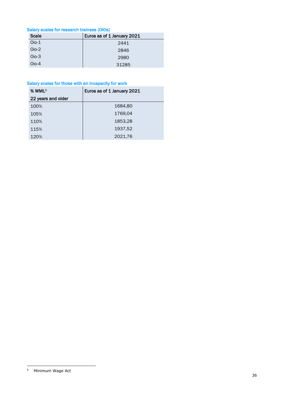# Salary scales for research trainees (OIOs)

| Scale    | Euros as of 1 January 2021 |  |  |  |
|----------|----------------------------|--|--|--|
| $Oio-1$  | 2441                       |  |  |  |
| $Oio-2$  | 2846                       |  |  |  |
| $Oio-3$  | 2980                       |  |  |  |
| $O$ io-4 | 31285                      |  |  |  |

## Salary scales for those with an incapacity for work

| % WML <sup>6</sup> | Euros as of 1 January 2021 |  |  |  |
|--------------------|----------------------------|--|--|--|
| 22 years and older |                            |  |  |  |
| 100%               | 1684,80                    |  |  |  |
| 105%               | 1769,04                    |  |  |  |
| 110%               | 1853,28                    |  |  |  |
| 115%               | 1937,52                    |  |  |  |
| 120%               | 2021,76                    |  |  |  |

<sup>&</sup>lt;u>.</u> <sup>6</sup> Minimum Wage Act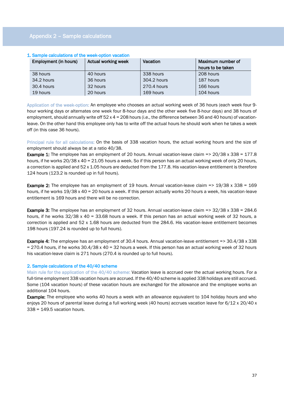## Appendix 2 – Sample calculations

| Employment (in hours) | Actual working week | Vacation    | Maximum number of |  |  |  |  |  |  |
|-----------------------|---------------------|-------------|-------------------|--|--|--|--|--|--|
|                       |                     |             | hours to be taken |  |  |  |  |  |  |
| 38 hours              | 40 hours            | 338 hours   | 208 hours         |  |  |  |  |  |  |
| 34.2 hours            | 36 hours            | 304.2 hours | 187 hours         |  |  |  |  |  |  |
| 30.4 hours            | 32 hours            | 270.4 hours | 166 hours         |  |  |  |  |  |  |
| 19 hours              | 20 hours            | 169 hours   | 104 hours         |  |  |  |  |  |  |

#### 1. Sample calculations of the week-option vacation

Application of the week-option: An employee who chooses an actual working week of 36 hours (each week four 9 hour working days or alternates one week four 8-hour days and the other week five 8-hour days) and 38 hours of employment, should annually write off  $52 \times 4 = 208$  hours (i.e., the difference between 36 and 40 hours) of vacationleave. On the other hand this employee only has to write off the actual hours he should work when he takes a week off (in this case 36 hours).

Principal rule for all calculations: On the basis of 338 vacation hours, the actual working hours and the size of employment should always be at a ratio 40/38.

**Example 1:** The employee has an employment of 20 hours. Annual vacation-leave claim => 20/38 x 338 = 177.8 hours, if he works  $20/38 \times 40 = 21.05$  hours a week. So if this person has an actual working week of only 20 hours, a correction is applied and 52 x 1.05 hours are deducted from the 177.8. His vacation-leave entitlement is therefore 124 hours (123.2 is rounded up in full hours).

**Example 2:** The employee has an employment of 19 hours. Annual vacation-leave claim  $\approx$  19/38 x 338 = 169 hours, if he works 19/38 x 40 = 20 hours a week. If this person actually works 20 hours a week, his vacation-leave entitlement is 169 hours and there will be no correction.

Example 3: The employee has an employment of 32 hours. Annual vacation-leave claim => 32/38 x 338 = 284.6 hours, if he works 32/38 x 40 = 33.68 hours a week. If this person has an actual working week of 32 hours, a correction is applied and 52 x 1.68 hours are deducted from the 284.6. His vacation-leave entitlement becomes 198 hours (197.24 is rounded up to full hours).

Example 4: The employee has an employment of 30.4 hours. Annual vacation-leave entitlement => 30.4/38 x 338 = 270.4 hours, if he works 30.4/38 x 40 = 32 hours a week. If this person has an actual working week of 32 hours his vacation-leave claim is 271 hours (270.4 is rounded up to full hours).

#### 2. Sample calculations of the 40/40 scheme

Main rule for the application of the 40/40 scheme: Vacation leave is accrued over the actual working hours. For a full-time employment 338 vacation hours are accrued. If the 40/40 scheme is applied 338 holidays are still accrued. Some (104 vacation hours) of these vacation hours are exchanged for the allowance and the employee works an additional 104 hours.

**Example:** The employee who works 40 hours a week with an allowance equivalent to 104 holiday hours and who enjoys 20 hours of parental leave during a full working week (40 hours) accrues vacation leave for 6/12 x 20/40 x 338 = 149.5 vacation hours.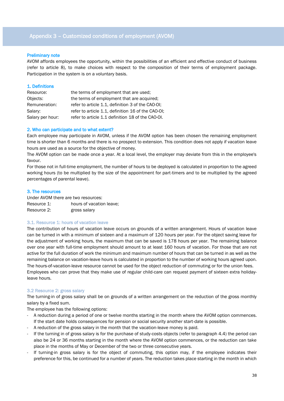#### Preliminary note

AVOM affords employees the opportunity, within the possibilities of an efficient and effective conduct of business (refer to article 8), to make choices with respect to the composition of their terms of employment package. Participation in the system is on a voluntary basis.

| 1. Definitions   |                                                    |
|------------------|----------------------------------------------------|
| Resource:        | the terms of employment that are used;             |
| Objects:         | the terms of employment that are acquired;         |
| Remuneration:    | refer to article 1.1, definition 3 of the CAO-OI;  |
| Salary:          | refer to article 1.1, definition 16 of the CAO-OI; |
| Salary per hour: | refer to article 1.1 definition 18 of the CAO-OI.  |

#### 2. Who can participate and to what extent?

Each employee may participate in AVOM, unless if the AVOM option has been chosen the remaining employment time is shorter than 6 months and there is no prospect to extension. This condition does not apply if vacation leave hours are used as a source for the objective of money.

The AVOM option can be made once a year. At a local level, the employer may deviate from this in the employee's favour.

For those not in full-time employment, the number of hours to be deployed is calculated in proportion to the agreed working hours (to be multiplied by the size of the appointment for part-timers and to be multiplied by the agreed percentages of parental leave).

#### 3. The resources

Under AVOM there are two resources: Resource 1: hours of vacation leave; Resource 2: gross salary

#### 3.1. Resource 1: hours of vacation leave

The contribution of hours of vacation leave occurs on grounds of a written arrangement. Hours of vacation leave can be turned in with a minimum of sixteen and a maximum of 120 hours per year. For the object saving leave for the adjustment of working hours, the maximum that can be saved is 178 hours per year. The remaining balance over one year with full-time employment should amount to at least 160 hours of vacation. For those that are not active for the full duration of work the minimum and maximum number of hours that can be turned in as well as the remaining balance on vacation-leave hours is calculated in proportion to the number of working hours agreed upon. The hours-of-vacation-leave resource cannot be used for the object reduction of commuting or for the union fees. Employees who can prove that they make use of regular child-care can request payment of sixteen extra holidayleave hours.

#### 3.2 Resource 2: gross salary

The turning-in of gross salary shall be on grounds of a written arrangement on the reduction of the gross monthly salary by a fixed sum.

The employee has the following options:

- A reduction during a period of one or twelve months starting in the month where the AVOM option commences. If the start date holds consequences for pension or social security another start-date is possible.
- A reduction of the gross salary in the month that the vacation-leave money is paid.
- If the turning in of gross salary is for the purchase of study-costs objects (refer to paragraph 4.4) the period can also be 24 or 36 months starting in the month where the AVOM option commences, or the reduction can take place in the months of May or December of the two or three consecutive years.
- If turning-in gross salary is for the object of commuting, this option may, if the employee indicates their preference for this, be continued for a number of years. The reduction takes place starting in the month in which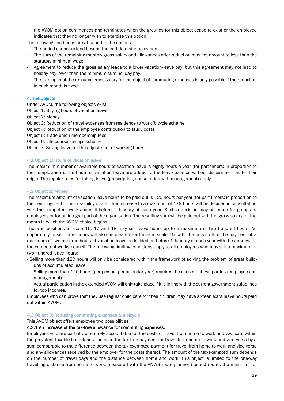the AVOM-option commences and terminates when the grounds for this object cease to exist or the employee indicates that they no longer wish to exercise this option.

The following conditions are attached to the options:

- The period cannot extend beyond the end date of employment.
- The sum of the remaining monthly gross salary and allowances after reduction may not amount to less than the statutory minimum wage.
- Agreement to reduce the gross salary leads to a lower vacation-leave pay, but this agreement may not lead to holiday pay lower than the minimum sum holiday pay.
- The turning-in of the resource gross salary for the object of commuting expenses is only possible if the reduction in each month is fixed.

#### 4. The objects

Under AVOM, the following objects exist:

- Object 1: Buying hours of vacation leave
- Object 2: Money
- Object 3: Reduction of travel expenses from residence to work/bicycle scheme
- Object 4: Reduction of the employee contribution to study costs
- Object 5: Trade union membership fees
- Object 6: Life-course savings scheme
- Object 7: Saving leave for the adjustment of working hours

## 4.1 Object 1: Hours of vacation leave

The maximum number of available hours of vacation leave is eighty hours a year (for part-timers: in proportion to their employment). The hours of vacation leave are added to the leave balance without discernment as to their origin. The regular rules for taking leave (prescription, consultation with management) apply.

## 4.2 Object 2: Money

The maximum amount of vacation leave hours to be paid out is 120 hours per year (for part-timers: in proportion to their employment). The possibility of a further increase to a maximum of 178 hours will be decided in consultation with the competent works council before 1 January of each year. Such a decision may be made for groups of employees or for an integral part of the organisation. The resulting sum will be paid out with the gross salary for the month in which the AVOM choice begins.

Those in positions in scale 16, 17 and 18 may sell leave hours up to a maximum of two hundred hours. An opportunity to sell more hours will also be created for those in scale 15, with the proviso that the payment of a maximum of two hundred hours of vacation leave is decided on before 1 January of each year with the approval of the competent works council. The following limiting conditions apply to all employees who may sell a maximum of two hundred leave hours:

- Selling more than 120 hours will only be considered within the framework of solving the problem of great buildups of accumulated leave.
- Selling more than 120 hours (per person, per calendar year) requires the consent of two parties (employee and management).
- Actual participation in the extended AVOM will only take place if it is in line with the current government guidelines for top incomes.

Employees who can prove that they use regular child care for their children may have sixteen extra leave hours paid out within AVOM.

#### 4.3 Object 3: Reducing commuting expenses & a bicycle

This AVOM object offers employee two possibilities:

#### 4.3.1 An increase of the tax-free allowance for commuting expenses.

Employees who are partially or entirely accountable for the costs of travel from home to work and v.v., can, within the prevalent taxable boundaries, increase the tax-free payment for travel from home to work and vice versa by a sum comparable to the difference between the tax-exempted payment for travel from home to work and vice versa and any allowances received by the employer for the costs thereof. The amount of the tax-exempted sum depends on the number of travel days and the distance between home and work. This object is limited to the one-way travelling distance from home to work, measured with the ANWB route planner (fastest route), the minimum for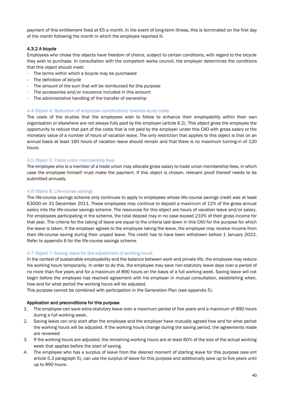payment of this entitlement fixed at €5 a month. In the event of long-term illness, this is terminated on the first day of the month following the month in which the employee reported ill.

## 4.3.2 A bicycle

Employees who chose this objects have freedom of choice, subject to certain conditions, with regard to the bicycle they wish to purchase. In consultation with the competent works council, the employer determines the conditions that this object should meet:

- The terms within which a bicycle may be purchased
- The definition of *bicycle*
- The amount of the sum that will be reimbursed for this purpose
- The accessories and/or insurance included in this amount
- The administrative handling of the transfer of ownership

#### 4.4 Object 4: Reduction of employee contributions towards study costs

The costs of the studies that the employees wish to follow to enhance their employability within their own organisation or elsewhere are not always fully paid by the employer (article 6.2). This object gives the employee the opportunity to reduce that part of the costs that is not paid by the employer under this CAO with gross salary or the monetary value of a number of hours of vacation leave. The only restriction that applies to this object is that on an annual basis at least 160 hours of vacation leave should remain and that there is no maximum turning-in of 120 hours.

## 4.5 Object 5: Trade union membership fees

The employee who is a member of a trade union may allocate gross salary to trade union membership fees, in which case the employee himself must make the payment. If this object is chosen, relevant proof thereof needs to be submitted annually.

## 4.6 Object 6: Life-course savings

The life-course savings scheme only continues to apply to employees whose life-course savings credit was at least €3000 on 31 December 2011. These employees may continue to deposit a maximum of 12% of the gross annual salary into the life-course savings scheme. The resources for this object are hours of vacation leave and/or salary. For employees participating in the scheme, the total deposit may in no case exceed 210% of their gross income for that year. The criteria for the taking of leave are equal to the criteria laid down in this CAO for the purpose for which the leave is taken. If the employer agrees to the employee taking the leave, the employee may receive income from their life-course saving during their unpaid leave. The credit has to have been withdrawn before 1 January 2022. Refer to appendix 6 for the life-course savings scheme.

#### 4.7 Object 7: Saving leave for the adjustment of working hours

In the context of sustainable employability and the balance between work and private life, the employee may reduce his working hours temporarily. In order to do this, the employee may save non-statutory leave days over a period of no more than five years and for a maximum of 890 hours on the basis of a full working week. Saving leave will not begin before the employee has reached agreement with his employer in mutual consultation, establishing when, how and for what period the working hours will be adjusted.

This purpose cannot be combined with participation in the Generation Plan (see appendix 5).

#### Application and preconditions for this purpose

- 1. The employee can save extra-statutory leave over a maximum period of five years and a maximum of 890 hours during a full working week.
- 2. Saving leave can only start after the employee and the employer have mutually agreed how and for what period the working hours will be adjusted. If the working hours change during the saving period, the agreements made are reviewed.
- 3. If the working hours are adjusted, the remaining working hours are at least 60% of the size of the actual working week that applies before the start of saving.
- 4. The employee who has a surplus of leave from the desired moment of starting leave for this purpose (see ent article 5.3 paragraph 5), can use the surplus of leave for this purpose and additionally save up to five years until up to 890 hours.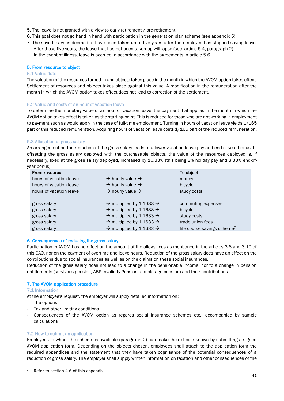- 5. The leave is not granted with a view to early retirement / pre-retirement.
- 6. This goal does not go hand in hand with participation in the generation plan scheme (see appendix 5).
- 7. The saved leave is deemed to have been taken up to five years after the employee has stopped saving leave. After those five years, the leave that has not been taken up will lapse (see article 5.4, paragraph 2). In the event of illness, leave is accrued in accordance with the agreements in article 5.6.

#### 5. From resource to object

#### 5.1 Value date

The valuation of the resources turned-in and objects takes place in the month in which the AVOM option takes effect. Settlement of resources and objects takes place against this value. A modification in the remuneration after the month in which the AVOM option takes effect does not lead to correction of the settlement.

## 5.2 Value and costs of an hour of vacation leave

To determine the monetary value of an hour of vacation leave, the payment that applies in the month in which the AVOM option takes effect is taken as the starting-point. This is reduced for those who are not working in employment to payment such as would apply in the case of full-time employment. Turning in hours of vacation leave yields  $1/165$ part of this reduced remuneration. Acquiring hours of vacation leave costs 1/165 part of the reduced remuneration.

## 5.3 Allocation of gross salary

An arrangement on the reduction of the gross salary leads to a lower vacation-leave pay and end-of-year bonus. In offsetting the gross salary deployed with the purchasable objects, the value of the resources deployed is, if necessary, fixed at the gross salary deployed, increased by 16.33% (this being 8% holiday pay and 8.33% end-ofyear bonus).

| From resource           |                                                  | To object                               |
|-------------------------|--------------------------------------------------|-----------------------------------------|
| hours of vacation leave | $\rightarrow$ hourly value $\rightarrow$         | money                                   |
| hours of vacation leave | $\rightarrow$ hourly value $\rightarrow$         | bicycle                                 |
| hours of vacation leave | $\rightarrow$ hourly value $\rightarrow$         | study costs                             |
|                         |                                                  |                                         |
| gross salary            | $\rightarrow$ multiplied by 1.1633 $\rightarrow$ | commuting expenses                      |
| gross salary            | $\rightarrow$ multiplied by 1.1633 $\rightarrow$ | bicycle                                 |
| gross salary            | $\rightarrow$ multiplied by 1.1633 $\rightarrow$ | study costs                             |
| gross salary            | $\rightarrow$ multiplied by 1.1633 $\rightarrow$ | trade union fees                        |
| gross salary            | $\rightarrow$ multiplied by 1.1633 $\rightarrow$ | life-course savings scheme <sup>7</sup> |

#### 6. Consequences of reducing the gross salary

Participation in AVOM has no effect on the amount of the allowances as mentioned in the articles 3.8 and 3.10 of this CAO, nor on the payment of overtime and leave hours. Reduction of the gross salary does have an effect on the contributions due to social insurances as well as on the claims on these social insurances.

Reduction of the gross salary does not lead to a change in the pensionable income, nor to a change in pension entitlements (survivor's pension, ABP Invalidity Pension and old-age pension) and their contributions.

## 7. The AVOM application procedure

7.1 Information

At the employee's request, the employer will supply detailed information on:

The options

<u>.</u>

- Tax and other limiting conditions
- Consequences of the AVOM option as regards social insurance schemes etc., accompanied by sample calculations

#### 7.2 How to submit an application

Employees to whom the scheme is available (paragraph 2) can make their choice known by submitting a signed AVOM application form. Depending on the objects chosen, employees shall attach to the application form the required appendices and the statement that they have taken cognisance of the potential consequences of a reduction of gross salary. The employer shall supply written information on taxation and other consequences of the

Refer to section 4.6 of this appendix.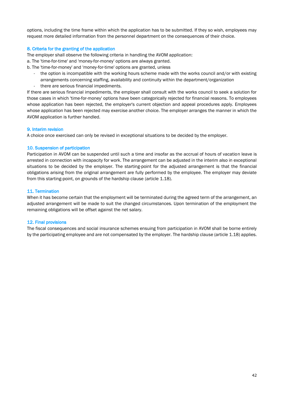options, including the time frame within which the application has to be submitted. If they so wish, employees may request more detailed information from the personnel department on the consequences of their choice.

#### 8. Criteria for the granting of the application

The employer shall observe the following criteria in handling the AVOM application:

- a. The 'time-for-time' and 'money-for-money' options are always granted.
- b. The 'time-for-money' and 'money-for-time' options are granted, unless
	- the option is incompatible with the working hours scheme made with the works council and/or with existing arrangements concerning staffing, availability and continuity within the department/organization
	- there are serious financial impediments.

If there are serious financial impediments, the employer shall consult with the works council to seek a solution for those cases in which 'time-for-money' options have been categorically rejected for financial reasons. To employees whose application has been rejected, the employer's current objection and appeal procedures apply. Employees whose application has been rejected may exercise another choice. The employer arranges the manner in which the AVOM application is further handled.

#### 9. Interim revision

A choice once exercised can only be revised in exceptional situations to be decided by the employer.

#### 10. Suspension of participation

Participation in AVOM can be suspended until such a time and insofar as the accrual of hours of vacation leave is arrested in connection with incapacity for work. The arrangement can be adjusted in the interim also in exceptional situations to be decided by the employer. The starting-point for the adjusted arrangement is that the financial obligations arising from the original arrangement are fully performed by the employee. The employer may deviate from this starting-point, on grounds of the hardship clause (article 1.18).

#### 11. Termination

When it has become certain that the employment will be terminated during the agreed term of the arrangement, an adjusted arrangement will be made to suit the changed circumstances. Upon termination of the employment the remaining obligations will be offset against the net salary.

#### 12. Final provisions

The fiscal consequences and social insurance schemes ensuing from participation in AVOM shall be borne entirely by the participating employee and are not compensated by the employer. The hardship clause (article 1.18) applies.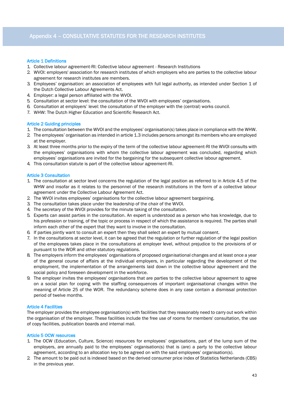#### Article 1 Definitions

- 1. Collective labour agreement-RI: Collective labour agreement Research Institutions
- 2. WVOI: employers' association for research institutes of which employers who are parties to the collective labour agreement for research institutes are members.
- 3. Employees' organisation: an association of employees with full legal authority, as intended under Section 1 of the Dutch Collective Labour Agreements Act.
- 4. Employer: a legal person affiliated with the WVOI.
- 5. Consultation at sector level: the consultation of the WVOI with employees' organisations.
- 6. Consultation at employers' level: the consultation of the employer with the (central) works council.
- 7. WHW: The Dutch Higher Education and Scientific Research Act.

#### Article 2 Guiding principles

- 1. The consultation between the WVOI and the employees' organisation(s) takes place in compliance with the WHW.
- 2. The employees' organisation as intended in article 1.3 includes persons amongst its members who are employed at the employer.
- 3. At least three months prior to the expiry of the term of the collective labour agreement-RI the WVOI consults with the employees' organisations with whom the collective labour agreement was concluded, regarding which employees' organisations are invited for the bargaining for the subsequent collective labour agreement.
- 4. This consultation statute is part of the collective labour agreement-RI.

#### Article 3 Consultation

- 1. The consultation at sector level concerns the regulation of the legal position as referred to in Article 4.5 of the WHW and insofar as it relates to the personnel of the research institutions in the form of a collective labour agreement under the Collective Labour Agreement Act.
- 2. The WVOI invites employees' organisations for the collective labour agreement bargaining.
- 3. The consultation takes place under the leadership of the chair of the WVOI.
- 4. The secretary of the WVOI provides for the minute taking of the consultation.
- 5. Experts can assist parties in the consultation. An expert is understood as a person who has knowledge, due to his profession or training, of the topic or process in respect of which the assistance is required. The parties shall inform each other of the expert that they want to involve in the consultation.
- 6. If parties jointly want to consult an expert then they shall select an expert by mutual consent.
- 7. In the consultations at sector level, it can be agreed that the regulation or further regulation of the legal position of the employees takes place in the consultations at employer level, without prejudice to the provisions of or pursuant to the WOR and other statutory regulations.
- 8. The employers inform the employees' organisations of proposed organisational changes and at least once a year of the general course of affairs at the individual employers, in particular regarding the development of the employment, the implementation of the arrangements laid down in the collective labour agreement and the social policy and foreseen development in the workforce.
- 9. The employer invites the employees' organisations that are parties to the collective labour agreement to agree on a social plan for coping with the staffing consequences of important organisational changes within the meaning of Article 25 of the WOR. The redundancy scheme does in any case contain a dismissal protection period of twelve months.

#### Article 4 Facilities

The employer provides the employee organisation(s) with facilities that they reasonably need to carry out work within the organisation of the employer. These facilities include the free use of rooms for members' consultation, the use of copy facilities, publication boards and internal mail.

#### Article 5 OCW resources

- 1. The OCW (Education, Culture, Science) resources for employees' organisations, part of the lump sum of the employers, are annually paid to the employees' organisation(s) that is (are) a party to the collective labour agreement, according to an allocation key to be agreed on with the said employees' organisation(s).
- 2. The amount to be paid out is indexed based on the derived consumer price index of Statistics Netherlands (CBS) in the previous year.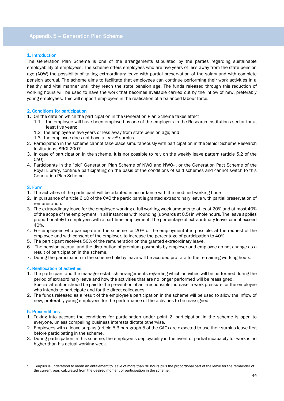## Appendix 5 – Generation Plan Scheme

## 1. Introduction

The Generation Plan Scheme is one of the arrangements stipulated by the parties regarding sustainable employability of employees. The scheme offers employees who are five years of less away from the state pension age (AOW) the possibility of taking extraordinary leave with partial preservation of the salary and with complete pension accrual. The scheme aims to facilitate that employees can continue performing their work activities in a healthy and vital manner until they reach the state pension age. The funds released through this reduction of working hours will be used to have the work that becomes available carried out by the inflow of new, preferably young employees. This will support employers in the realisation of a balanced labour force.

#### 2. Conditions for participation

- 1. On the date on which the participation in the Generation Plan Scheme takes effect
	- 1.1 the employee will have been employed by one of the employers in the Research Institutions sector for at least five years;
	- 1.2 the employee is five years or less away from state pension age; and
	- 1.3 the employee does not have a leave $8$  surplus.
- 2. Participation in the scheme cannot take place simultaneously with participation in the Senior Scheme Research Institutions, SROI-2007.
- 3. In case of participation in the scheme, it is not possible to rely on the weekly leave pattern (article 5.2 of the CAO).
- 4. Participants in the "old" Generation Plan Scheme of NWO and NWO-I, or the Generation Pact Scheme of the Royal Library, continue participating on the basis of the conditions of said schemes and cannot switch to this Generation Plan Scheme.

#### 3. Form

- 1. The activities of the participant will be adapted in accordance with the modified working hours.
- 2. In pursuance of article 6.10 of the CAO the participant is granted extraordinary leave with partial preservation of remuneration.
- 3. The extraordinary leave for the employee working a full working week amounts to at least 20% and at most 40% of the scope of the employment, in all instances with rounding (upwards at 0.5) in whole hours. The leave applies proportionately to employees with a part-time employment. The percentage of extraordinary leave cannot exceed 40%.
- 4. For employees who participate in the scheme for 20% of the employment it is possible, at the request of the employee and with consent of the employer, to increase the percentage of participation to 40%.
- 5. The participant receives 50% of the remuneration on the granted extraordinary leave.
- 6. The pension accrual and the distribution of premium payments by employer and employee do not change as a result of participation in the scheme.
- 7. During the participation in the scheme holiday leave will be accrued pro rata to the remaining working hours.

#### 4. Reallocation of activities

- 1. The participant and the manager establish arrangements regarding which activities will be performed during the period of extraordinary leave and how the activities that are no longer performed will be reassigned. Special attention should be paid to the prevention of an irresponsible increase in work pressure for the employee who intends to participate and for the direct colleagues.
- 2. The funds released as a result of the employee's participation in the scheme will be used to allow the inflow of new, preferably young employees for the performance of the activities to be reassigned.

#### 5. Preconditions

- 1. Taking into account the conditions for participation under point 2, participation in the scheme is open to everyone, unless compelling business interests dictate otherwise.
- 2. Employees with a leave surplus (article 5.3 paragraph 5 of the CAO) are expected to use their surplus leave first before participating in the scheme.
- 3. During participation in this scheme, the employee's deployability in the event of partial incapacity for work is no higher than his actual working week.

<sup>&</sup>lt;u>.</u> Surplus is understood to mean an entitlement to leave of more than 80 hours plus the proportional part of the leave for the remainder of the current year, calculated from the desired moment of participation in the scheme.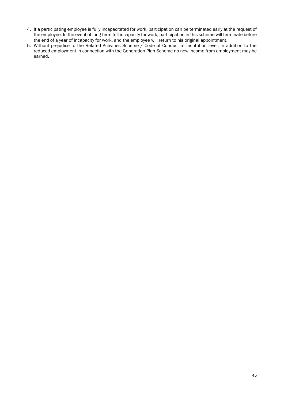- 4. If a participating employee is fully incapacitated for work, participation can be terminated early at the request of the employee. In the event of long-term full incapacity for work, participation in this scheme will terminate before the end of a year of incapacity for work, and the employee will return to his original appointment.
- 5. Without prejudice to the Related Activities Scheme / Code of Conduct at institution level, in addition to the reduced employment in connection with the Generation Plan Scheme no new income from employment may be earned.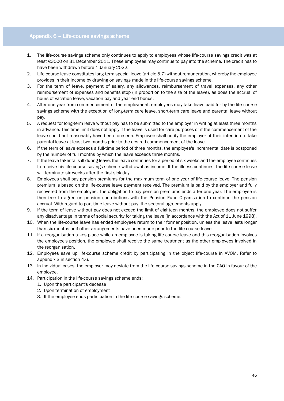## Appendix 6 – Life-course savings scheme

- 1. The life-course savings scheme only continues to apply to employees whose life-course savings credit was at least €3000 on 31 December 2011. These employees may continue to pay into the scheme. The credit has to have been withdrawn before 1 January 2022.
- 2. Life-course leave constitutes long-term special leave (article 5.7) without remuneration, whereby the employee provides in their income by drawing on savings made in the life-course savings scheme.
- 3. For the term of leave, payment of salary, any allowances, reimbursement of travel expenses, any other reimbursement of expenses and benefits stop (in proportion to the size of the leave), as does the accrual of hours of vacation leave, vacation pay and year-end bonus.
- 4. After one year from commencement of the employment, employees may take leave paid for by the life-course savings scheme with the exception of long-term care leave, short-term care leave and parental leave without pay.
- 5. A request for long-term leave without pay has to be submitted to the employer in writing at least three months in advance. This time limit does not apply if the leave is used for care purposes or if the commencement of the leave could not reasonably have been foreseen. Employee shall notify the employer of their intention to take parental leave at least two months prior to the desired commencement of the leave.
- 6. If the term of leave exceeds a full-time period of three months, the employee's incremental date is postponed by the number of full months by which the leave exceeds three months.
- 7. If the leave-taker falls ill during leave, the leave continues for a period of six weeks and the employee continues to receive his life-course savings scheme withdrawal as income. If the illness continues, the life-course leave will terminate six weeks after the first sick day.
- 8. Employees shall pay pension premiums for the maximum term of one year of life-course leave. The pension premium is based on the life-course leave payment received. The premium is paid by the employer and fully recovered from the employee. The obligation to pay pension premiums ends after one year. The employee is then free to agree on pension contributions with the Pension Fund Organisation to continue the pension accrual. With regard to part-time leave without pay, the sectoral agreements apply.
- 9. If the term of leave without pay does not exceed the limit of eighteen months, the employee does not suffer any disadvantage in terms of social security for taking the leave (in accordance with the Act of 11 June 1998).
- 10. When the life-course leave has ended employees return to their former position, unless the leave lasts longer than six months or if other arrangements have been made prior to the life-course leave.
- 11. If a reorganisation takes place while an employee is taking life-course leave and this reorganisation involves the employee's position, the employee shall receive the same treatment as the other employees involved in the reorganisation.
- 12. Employees save up life-course scheme credit by participating in the object life-course in AVOM. Refer to appendix 3 in section 4.6.
- 13. In individual cases, the employer may deviate from the life-course savings scheme in the CAO in favour of the employee.
- 14. Participation in the life-course savings scheme ends:
	- 1. Upon the participant's decease
	- 2. Upon termination of employment
	- 3. If the employee ends participation in the life-course savings scheme.